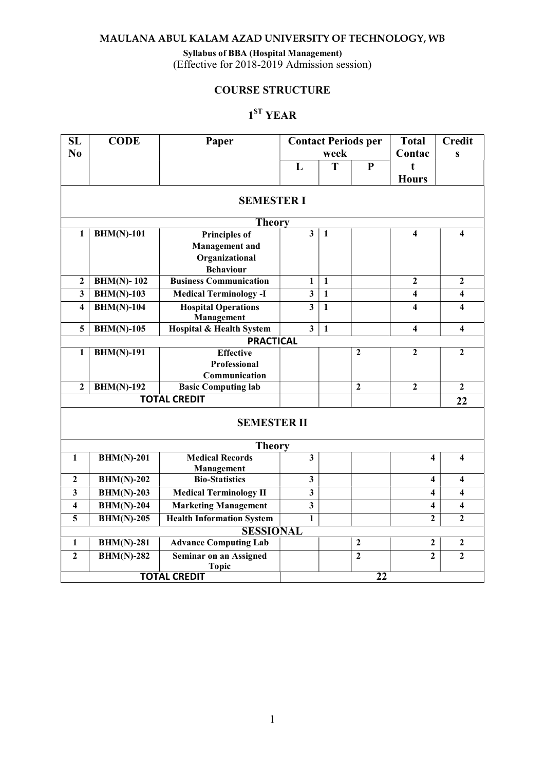#### Syllabus of BBA (Hospital Management)

(Effective for 2018-2019 Admission session)

# COURSE STRUCTURE

# 1 ST YEAR

| <b>SL</b>               | <b>CODE</b>       | Paper                                         |                         |              | <b>Contact Periods per</b> | <b>Total</b>            | <b>Credit</b>           |
|-------------------------|-------------------|-----------------------------------------------|-------------------------|--------------|----------------------------|-------------------------|-------------------------|
| N <sub>0</sub>          |                   |                                               |                         | week         |                            | Contac                  | $\mathbf{s}$            |
|                         |                   |                                               | L                       | T            | ${\bf P}$                  | t<br><b>Hours</b>       |                         |
|                         |                   | <b>SEMESTER I</b>                             |                         |              |                            |                         |                         |
|                         |                   | <b>Theory</b>                                 |                         |              |                            |                         |                         |
| $\mathbf{1}$            | $BHM(N)-101$      | Principles of                                 | $\overline{\mathbf{3}}$ | 1            |                            | $\overline{\mathbf{4}}$ | $\overline{\mathbf{4}}$ |
|                         |                   | <b>Management</b> and                         |                         |              |                            |                         |                         |
|                         |                   | Organizational                                |                         |              |                            |                         |                         |
|                         |                   | <b>Behaviour</b>                              |                         |              |                            |                         |                         |
| $\overline{2}$          | <b>BHM(N)-102</b> | <b>Business Communication</b>                 | $\mathbf{1}$            | $\mathbf{1}$ |                            | $\overline{2}$          | $\overline{2}$          |
| $\overline{\mathbf{3}}$ | $BHM(N)-103$      | <b>Medical Terminology -I</b>                 | $\overline{\mathbf{3}}$ | $\mathbf{1}$ |                            | $\overline{\mathbf{4}}$ | $\overline{\mathbf{4}}$ |
| $\overline{\mathbf{4}}$ | $BHM(N)-104$      | <b>Hospital Operations</b><br>Management      | $\overline{\mathbf{3}}$ | $\mathbf{1}$ |                            | 4                       | $\overline{\mathbf{4}}$ |
| 5                       | $BHM(N)-105$      | Hospital & Health System                      | $\overline{\mathbf{3}}$ | $\mathbf{1}$ |                            | $\overline{\mathbf{4}}$ | $\overline{\mathbf{4}}$ |
|                         |                   | <b>PRACTICAL</b>                              |                         |              |                            |                         |                         |
| $\mathbf{1}$            | <b>BHM(N)-191</b> | <b>Effective</b>                              |                         |              | $\mathbf{2}$               | $\overline{2}$          | $\overline{2}$          |
|                         |                   | Professional                                  |                         |              |                            |                         |                         |
|                         |                   | Communication                                 |                         |              |                            |                         |                         |
| $\overline{2}$          | <b>BHM(N)-192</b> | <b>Basic Computing lab</b>                    |                         |              | $\mathbf{2}$               | $\boldsymbol{2}$        | $\mathbf{2}$            |
|                         |                   | <b>TOTAL CREDIT</b>                           |                         |              |                            |                         | 22                      |
|                         |                   | <b>SEMESTER II</b>                            |                         |              |                            |                         |                         |
|                         |                   | <b>Theory</b>                                 |                         |              |                            |                         |                         |
| $\mathbf{1}$            | $BHM(N)-201$      | <b>Medical Records</b>                        | $\overline{\mathbf{3}}$ |              |                            | $\overline{\mathbf{4}}$ | $\overline{\mathbf{4}}$ |
| $\mathbf{2}$            | $BHM(N)-202$      | Management<br><b>Bio-Statistics</b>           | $\overline{\mathbf{3}}$ |              |                            | 4                       | $\overline{\mathbf{4}}$ |
|                         |                   |                                               |                         |              |                            |                         |                         |
| $\mathbf{3}$            | $BHM(N)-203$      | <b>Medical Terminology II</b>                 | $\mathbf{3}$            |              |                            | 4                       | $\overline{\mathbf{4}}$ |
| $\overline{\mathbf{4}}$ | $BHM(N)-204$      | <b>Marketing Management</b>                   | $\overline{\mathbf{3}}$ |              |                            | $\overline{\mathbf{4}}$ | $\overline{\mathbf{4}}$ |
| 5                       | $BHM(N)-205$      | <b>Health Information System</b>              | $\mathbf{1}$            |              |                            | $\overline{2}$          | $\overline{2}$          |
|                         |                   | <b>SESSIONAL</b>                              |                         |              |                            |                         |                         |
| $\mathbf{1}$            | <b>BHM(N)-281</b> | <b>Advance Computing Lab</b>                  |                         |              | $\mathbf 2$                | $\mathbf{2}$            | $\boldsymbol{2}$        |
| $\mathbf{2}$            | <b>BHM(N)-282</b> | <b>Seminar on an Assigned</b><br><b>Topic</b> |                         |              | $\mathbf{2}$               | $\overline{2}$          | $\overline{2}$          |
|                         |                   | <b>TOTAL CREDIT</b>                           |                         |              | 22                         |                         |                         |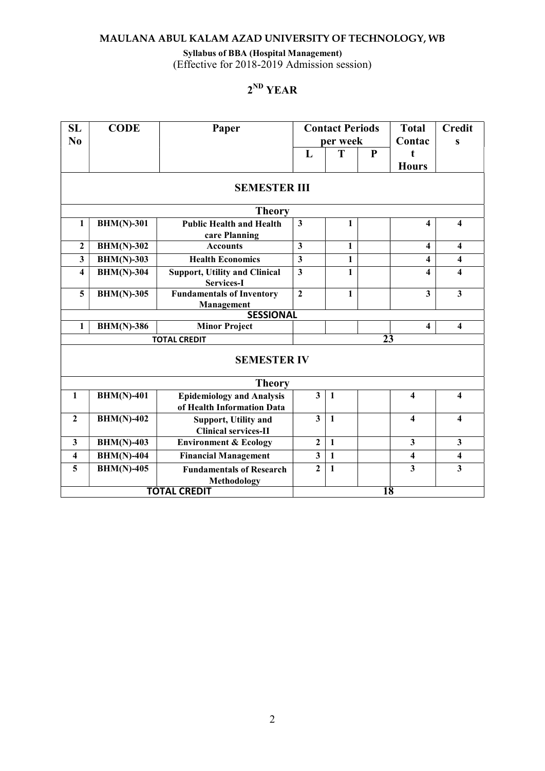#### Syllabus of BBA (Hospital Management)

(Effective for 2018-2019 Admission session)

# 2 ND YEAR

| SL<br>N <sub>0</sub>    | <b>CODE</b>       | Paper                                                          |                         | <b>Contact Periods</b><br>per week |           | <b>Total</b><br>Contac       | <b>Credit</b><br>S      |
|-------------------------|-------------------|----------------------------------------------------------------|-------------------------|------------------------------------|-----------|------------------------------|-------------------------|
|                         |                   |                                                                | L                       | T                                  | ${\bf P}$ | $\mathbf{f}$<br><b>Hours</b> |                         |
|                         |                   | <b>SEMESTER III</b>                                            |                         |                                    |           |                              |                         |
|                         |                   | <b>Theory</b>                                                  |                         |                                    |           |                              |                         |
| $\mathbf{1}$            | <b>BHM(N)-301</b> | <b>Public Health and Health</b><br>care Planning               | $\overline{\mathbf{3}}$ | 1                                  |           | 4                            | $\overline{\mathbf{4}}$ |
| $\overline{\mathbf{c}}$ | <b>BHM(N)-302</b> | <b>Accounts</b>                                                | $\overline{\mathbf{3}}$ | $\mathbf{1}$                       |           | 4                            | $\overline{\mathbf{4}}$ |
| $\overline{\mathbf{3}}$ | $BHM(N)-303$      | <b>Health Economics</b>                                        | $\overline{\mathbf{3}}$ | $\mathbf{1}$                       |           | 4                            | 4                       |
| 4                       | $BHM(N)-304$      | <b>Support, Utility and Clinical</b><br>Services-I             | $\mathbf{3}$            | $\mathbf{1}$                       |           | 4                            | $\overline{\mathbf{4}}$ |
| 5                       | $BHM(N)-305$      | <b>Fundamentals of Inventory</b><br>Management                 | $\overline{2}$          | 1                                  |           | 3                            | $\overline{\mathbf{3}}$ |
|                         |                   | <b>SESSIONAL</b>                                               |                         |                                    |           |                              |                         |
| 1                       | <b>BHM(N)-386</b> | <b>Minor Project</b>                                           |                         |                                    |           | 4                            | $\overline{\mathbf{4}}$ |
|                         |                   | <b>TOTAL CREDIT</b>                                            |                         |                                    |           | $\overline{23}$              |                         |
|                         |                   | <b>SEMESTER IV</b>                                             |                         |                                    |           |                              |                         |
|                         |                   | <b>Theory</b>                                                  |                         |                                    |           |                              |                         |
| $\mathbf{1}$            | <b>BHM(N)-401</b> | <b>Epidemiology and Analysis</b><br>of Health Information Data | $\overline{3}$          | $\mathbf{1}$                       |           | $\overline{\mathbf{4}}$      | $\overline{\mathbf{4}}$ |
| $\mathbf{2}$            | $BHM(N)-402$      | Support, Utility and<br><b>Clinical services-II</b>            | 3                       | $\mathbf{1}$                       |           | $\overline{\mathbf{4}}$      | $\overline{\mathbf{4}}$ |
| $\mathbf{3}$            | $BHM(N)-403$      | <b>Environment &amp; Ecology</b>                               | $\overline{2}$          | $\mathbf{1}$                       |           | $\overline{\mathbf{3}}$      | $\mathbf{3}$            |
| 4                       | <b>BHM(N)-404</b> | <b>Financial Management</b>                                    | 3                       | $\blacksquare$                     |           | $\overline{\mathbf{4}}$      | $\overline{\mathbf{4}}$ |
| 5                       | <b>BHM(N)-405</b> | <b>Fundamentals of Research</b><br><b>Methodology</b>          | $\mathbf{2}$            | $\mathbf{1}$                       |           | $\overline{\mathbf{3}}$      | $\overline{\mathbf{3}}$ |
|                         |                   | <b>TOTAL CREDIT</b>                                            |                         |                                    |           | 18                           |                         |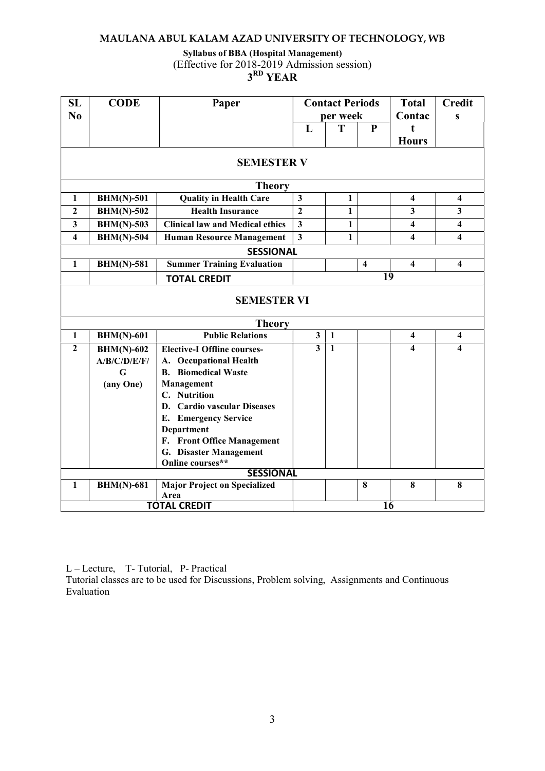# Syllabus of BBA (Hospital Management)

(Effective for 2018-2019 Admission session)

# $3^{\rm RD}$  YEAR

| SL               | <b>CODE</b>       | Paper                                  |                         | <b>Contact Periods</b> |                         | <b>Total</b>            | <b>Credit</b>           |
|------------------|-------------------|----------------------------------------|-------------------------|------------------------|-------------------------|-------------------------|-------------------------|
| No               |                   |                                        | per week                |                        | Contac                  | $\mathbf{s}$            |                         |
|                  |                   |                                        | L                       | T                      | ${\bf P}$               | t                       |                         |
|                  |                   |                                        |                         |                        |                         | <b>Hours</b>            |                         |
|                  |                   | <b>SEMESTER V</b>                      |                         |                        |                         |                         |                         |
|                  |                   | <b>Theory</b>                          |                         |                        |                         |                         |                         |
| 1                | <b>BHM(N)-501</b> | <b>Quality in Health Care</b>          | $\mathbf{3}$            | 1                      |                         | $\overline{\mathbf{4}}$ | $\overline{\mathbf{4}}$ |
| $\boldsymbol{2}$ | $BHM(N)-502$      | <b>Health Insurance</b>                | $\boldsymbol{2}$        | 1                      |                         | $\mathbf{3}$            | 3                       |
| 3                | <b>BHM(N)-503</b> | <b>Clinical law and Medical ethics</b> | $\overline{\mathbf{3}}$ | $\mathbf{1}$           |                         | $\overline{\mathbf{4}}$ | $\overline{\mathbf{4}}$ |
| 4                | $BHM(N)-504$      | <b>Human Resource Management</b>       | $\overline{\mathbf{3}}$ | $\mathbf{1}$           |                         | $\overline{\mathbf{4}}$ | $\overline{\mathbf{4}}$ |
|                  |                   | <b>SESSIONAL</b>                       |                         |                        |                         |                         |                         |
| $\mathbf{1}$     | <b>BHM(N)-581</b> | <b>Summer Training Evaluation</b>      |                         |                        | $\overline{\mathbf{4}}$ | $\overline{\mathbf{4}}$ | $\overline{\mathbf{4}}$ |
|                  |                   | <b>TOTAL CREDIT</b>                    |                         |                        |                         | 19                      |                         |
|                  |                   |                                        |                         |                        |                         |                         |                         |
|                  |                   | <b>SEMESTER VI</b>                     |                         |                        |                         |                         |                         |
|                  |                   | <b>Theory</b>                          |                         |                        |                         |                         |                         |
| $\mathbf{1}$     | <b>BHM(N)-601</b> | <b>Public Relations</b>                | $\overline{\mathbf{3}}$ | $\mathbf{1}$           |                         | $\overline{\mathbf{4}}$ | $\overline{\mathbf{4}}$ |
| $\mathbf{2}$     | $BHM(N)-602$      | <b>Elective-I Offline courses-</b>     | $\overline{\mathbf{3}}$ | $\mathbf{1}$           |                         | $\overline{\mathbf{4}}$ | $\overline{\mathbf{4}}$ |
|                  | A/B/C/D/E/F/      | A. Occupational Health                 |                         |                        |                         |                         |                         |
|                  | G                 | <b>B.</b> Biomedical Waste             |                         |                        |                         |                         |                         |
|                  | (any One)         | Management                             |                         |                        |                         |                         |                         |
|                  |                   | C. Nutrition                           |                         |                        |                         |                         |                         |
|                  |                   | D. Cardio vascular Diseases            |                         |                        |                         |                         |                         |
|                  |                   | E. Emergency Service                   |                         |                        |                         |                         |                         |
|                  |                   | Department                             |                         |                        |                         |                         |                         |
|                  |                   | F. Front Office Management             |                         |                        |                         |                         |                         |
|                  |                   | G. Disaster Management                 |                         |                        |                         |                         |                         |
|                  |                   | Online courses**                       |                         |                        |                         |                         |                         |
|                  |                   | <b>SESSIONAL</b>                       |                         |                        |                         |                         |                         |
| $\mathbf{1}$     | <b>BHM(N)-681</b> | <b>Major Project on Specialized</b>    |                         |                        | $\bf{8}$                | 8                       | 8                       |
|                  |                   | Area                                   |                         |                        |                         |                         |                         |
|                  |                   | <b>TOTAL CREDIT</b>                    |                         |                        |                         | 16                      |                         |

L – Lecture, T- Tutorial, P- Practical

Tutorial classes are to be used for Discussions, Problem solving, Assignments and Continuous Evaluation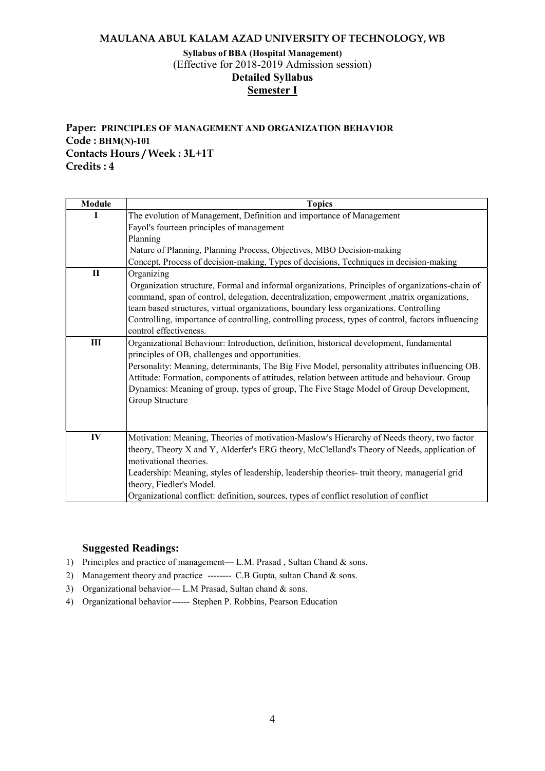# Syllabus of BBA (Hospital Management) (Effective for 2018-2019 Admission session) Detailed Syllabus Semester I

# Paper: PRINCIPLES OF MANAGEMENT AND ORGANIZATION BEHAVIOR Code : BHM(N)-101 Contacts Hours / Week : 3L+1T Credits : 4

| Module       | <b>Topics</b>                                                                                                                                                                                                                                                                                                                                                                                                                                             |
|--------------|-----------------------------------------------------------------------------------------------------------------------------------------------------------------------------------------------------------------------------------------------------------------------------------------------------------------------------------------------------------------------------------------------------------------------------------------------------------|
|              | The evolution of Management, Definition and importance of Management<br>Fayol's fourteen principles of management<br>Planning<br>Nature of Planning, Planning Process, Objectives, MBO Decision-making<br>Concept, Process of decision-making, Types of decisions, Techniques in decision-making                                                                                                                                                          |
| $\mathbf{I}$ | Organizing<br>Organization structure, Formal and informal organizations, Principles of organizations-chain of<br>command, span of control, delegation, decentralization, empowerment ,matrix organizations,<br>team based structures, virtual organizations, boundary less organizations. Controlling<br>Controlling, importance of controlling, controlling process, types of control, factors influencing<br>control effectiveness.                     |
| Ш            | Organizational Behaviour: Introduction, definition, historical development, fundamental<br>principles of OB, challenges and opportunities.<br>Personality: Meaning, determinants, The Big Five Model, personality attributes influencing OB.<br>Attitude: Formation, components of attitudes, relation between attitude and behaviour. Group<br>Dynamics: Meaning of group, types of group, The Five Stage Model of Group Development,<br>Group Structure |
| IV           | Motivation: Meaning, Theories of motivation-Maslow's Hierarchy of Needs theory, two factor<br>theory, Theory X and Y, Alderfer's ERG theory, McClelland's Theory of Needs, application of<br>motivational theories.<br>Leadership: Meaning, styles of leadership, leadership theories- trait theory, managerial grid<br>theory, Fiedler's Model.<br>Organizational conflict: definition, sources, types of conflict resolution of conflict                |

- 1) Principles and practice of management— L.M. Prasad , Sultan Chand & sons.
- 2) Management theory and practice -------- C.B Gupta, sultan Chand & sons.
- 3) Organizational behavior— L.M Prasad, Sultan chand & sons.
- 4) Organizational behavior ------ Stephen P. Robbins, Pearson Education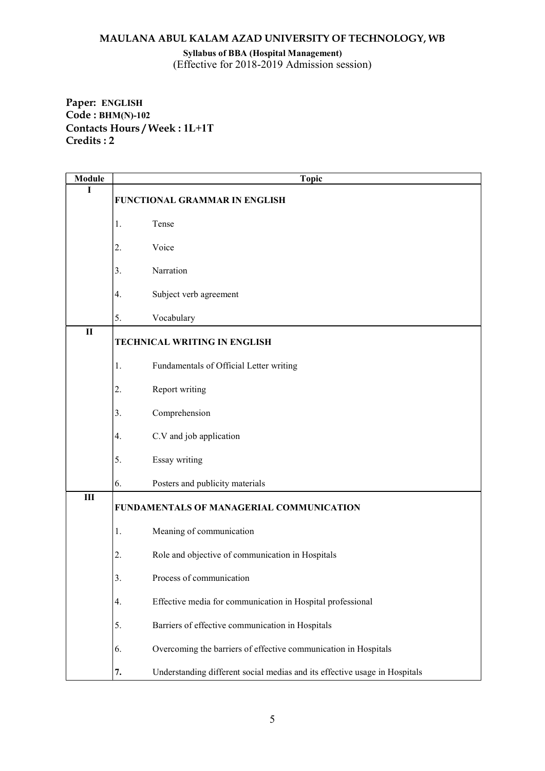Syllabus of BBA (Hospital Management) (Effective for 2018-2019 Admission session)

Paper: ENGLISH Code : BHM(N)-102 Contacts Hours / Week : 1L+1T Credits : 2

| <b>Module</b>  | <b>Topic</b>                                                                     |
|----------------|----------------------------------------------------------------------------------|
| I              | FUNCTIONAL GRAMMAR IN ENGLISH                                                    |
|                | Tense<br>1.                                                                      |
|                | Voice<br>2.                                                                      |
|                | Narration<br>3.                                                                  |
|                | Subject verb agreement<br>4.                                                     |
|                | 5.<br>Vocabulary                                                                 |
| $\mathbf{I}$   | TECHNICAL WRITING IN ENGLISH                                                     |
|                | Fundamentals of Official Letter writing<br>1.                                    |
|                | Report writing<br>2.                                                             |
|                | Comprehension<br>3.                                                              |
|                | C.V and job application<br>4.                                                    |
|                | 5.<br>Essay writing                                                              |
|                | 6.<br>Posters and publicity materials                                            |
| $\mathbf{III}$ | FUNDAMENTALS OF MANAGERIAL COMMUNICATION                                         |
|                | Meaning of communication<br>1.                                                   |
|                | Role and objective of communication in Hospitals<br>2.                           |
|                | 3.<br>Process of communication                                                   |
|                | Effective media for communication in Hospital professional<br>4.                 |
|                | 5.<br>Barriers of effective communication in Hospitals                           |
|                | 6.<br>Overcoming the barriers of effective communication in Hospitals            |
|                | Understanding different social medias and its effective usage in Hospitals<br>7. |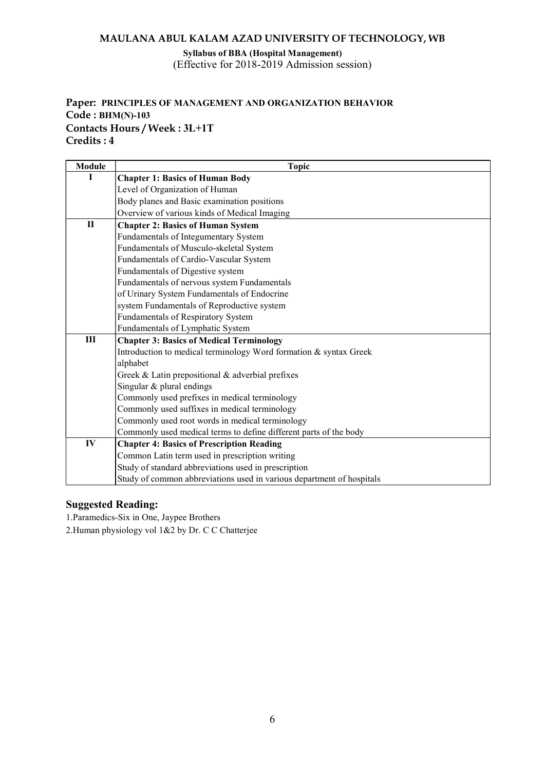#### Syllabus of BBA (Hospital Management) (Effective for 2018-2019 Admission session)

# Paper: PRINCIPLES OF MANAGEMENT AND ORGANIZATION BEHAVIOR Code : BHM(N)-103 Contacts Hours / Week : 3L+1T Credits : 4

| <b>Module</b> | <b>Topic</b>                                                          |
|---------------|-----------------------------------------------------------------------|
| I             | <b>Chapter 1: Basics of Human Body</b>                                |
|               | Level of Organization of Human                                        |
|               | Body planes and Basic examination positions                           |
|               | Overview of various kinds of Medical Imaging                          |
| $\mathbf{I}$  | <b>Chapter 2: Basics of Human System</b>                              |
|               | Fundamentals of Integumentary System                                  |
|               | Fundamentals of Musculo-skeletal System                               |
|               | Fundamentals of Cardio-Vascular System                                |
|               | Fundamentals of Digestive system                                      |
|               | Fundamentals of nervous system Fundamentals                           |
|               | of Urinary System Fundamentals of Endocrine                           |
|               | system Fundamentals of Reproductive system                            |
|               | Fundamentals of Respiratory System                                    |
|               | Fundamentals of Lymphatic System                                      |
| Ш             | <b>Chapter 3: Basics of Medical Terminology</b>                       |
|               | Introduction to medical terminology Word formation & syntax Greek     |
|               | alphabet                                                              |
|               | Greek & Latin prepositional & adverbial prefixes                      |
|               | Singular & plural endings                                             |
|               | Commonly used prefixes in medical terminology                         |
|               | Commonly used suffixes in medical terminology                         |
|               | Commonly used root words in medical terminology                       |
|               | Commonly used medical terms to define different parts of the body     |
| IV            | <b>Chapter 4: Basics of Prescription Reading</b>                      |
|               | Common Latin term used in prescription writing                        |
|               | Study of standard abbreviations used in prescription                  |
|               | Study of common abbreviations used in various department of hospitals |

# Suggested Reading:

1.Paramedics-Six in One, Jaypee Brothers

2.Human physiology vol 1&2 by Dr. C C Chatterjee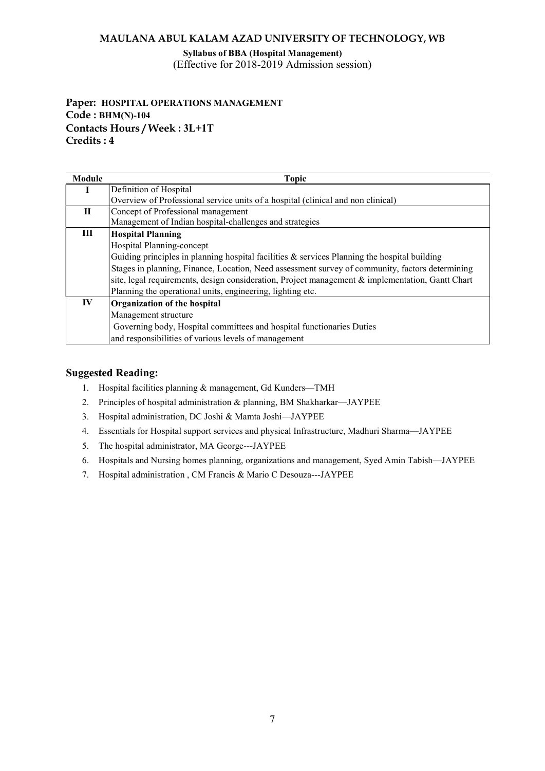Syllabus of BBA (Hospital Management) (Effective for 2018-2019 Admission session)

# Paper: HOSPITAL OPERATIONS MANAGEMENT Code : BHM(N)-104 Contacts Hours / Week : 3L+1T Credits : 4

| Module | <b>Topic</b>                                                                                        |
|--------|-----------------------------------------------------------------------------------------------------|
|        | Definition of Hospital                                                                              |
|        | Overview of Professional service units of a hospital (clinical and non clinical)                    |
| П      | Concept of Professional management                                                                  |
|        | Management of Indian hospital-challenges and strategies                                             |
| Ш      | <b>Hospital Planning</b>                                                                            |
|        | Hospital Planning-concept                                                                           |
|        | Guiding principles in planning hospital facilities $\&$ services Planning the hospital building     |
|        | Stages in planning, Finance, Location, Need assessment survey of community, factors determining     |
|        | site, legal requirements, design consideration, Project management $\&$ implementation, Gantt Chart |
|        | Planning the operational units, engineering, lighting etc.                                          |
| IV     | Organization of the hospital                                                                        |
|        | Management structure                                                                                |
|        | Governing body, Hospital committees and hospital functionaries Duties                               |
|        | and responsibilities of various levels of management                                                |

- 1. Hospital facilities planning & management, Gd Kunders—TMH
- 2. Principles of hospital administration & planning, BM Shakharkar—JAYPEE
- 3. Hospital administration, DC Joshi & Mamta Joshi—JAYPEE
- 4. Essentials for Hospital support services and physical Infrastructure, Madhuri Sharma—JAYPEE
- 5. The hospital administrator, MA George---JAYPEE
- 6. Hospitals and Nursing homes planning, organizations and management, Syed Amin Tabish—JAYPEE
- 7. Hospital administration , CM Francis & Mario C Desouza---JAYPEE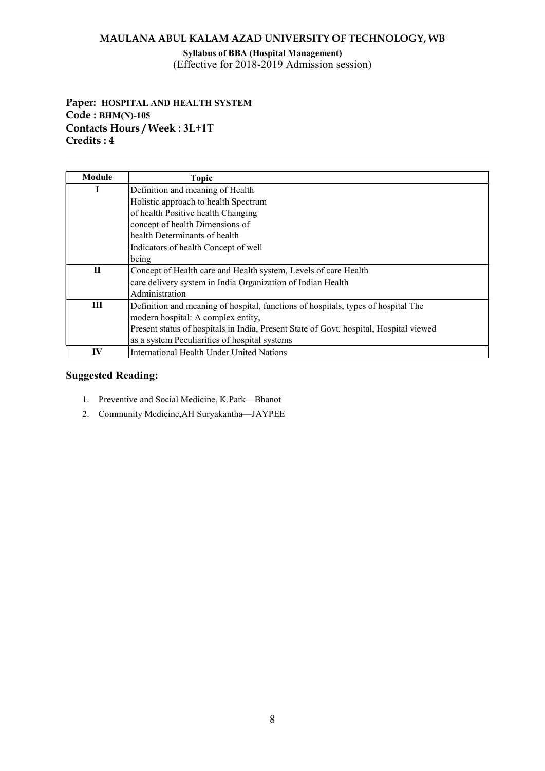Syllabus of BBA (Hospital Management) (Effective for 2018-2019 Admission session)

# Paper: HOSPITAL AND HEALTH SYSTEM Code : BHM(N)-105 Contacts Hours / Week : 3L+1T Credits : 4

| Module      | <b>Topic</b>                                                                           |
|-------------|----------------------------------------------------------------------------------------|
|             | Definition and meaning of Health                                                       |
|             | Holistic approach to health Spectrum                                                   |
|             | of health Positive health Changing                                                     |
|             | concept of health Dimensions of                                                        |
|             | health Determinants of health                                                          |
|             | Indicators of health Concept of well                                                   |
|             | being                                                                                  |
| $\mathbf H$ | Concept of Health care and Health system, Levels of care Health                        |
|             | care delivery system in India Organization of Indian Health                            |
|             | Administration                                                                         |
| Ш           | Definition and meaning of hospital, functions of hospitals, types of hospital The      |
|             | modern hospital: A complex entity,                                                     |
|             | Present status of hospitals in India, Present State of Govt. hospital, Hospital viewed |
|             | as a system Peculiarities of hospital systems                                          |
| IV          | International Health Under United Nations                                              |

- 1. Preventive and Social Medicine, K.Park—Bhanot
- 2. Community Medicine,AH Suryakantha—JAYPEE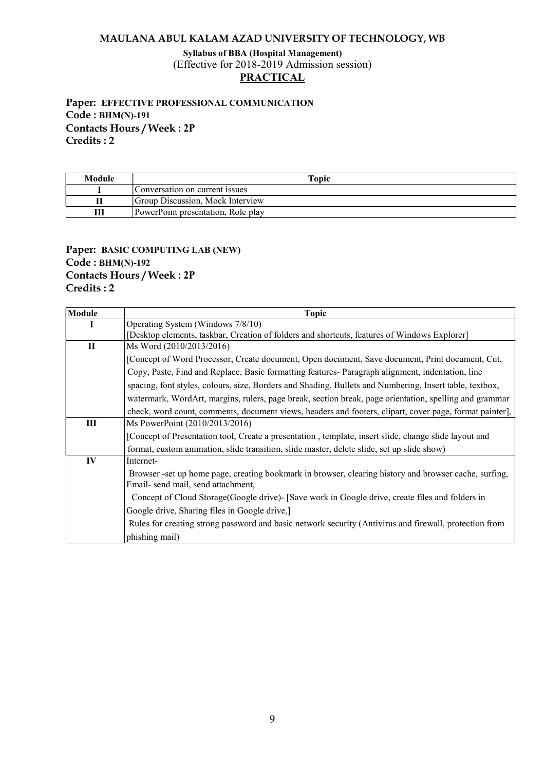Syllabus of BBA (Hospital Management) (Effective for 2018-2019 Admission session)

# **PRACTICAL**

Paper: EFFECTIVE PROFESSIONAL COMMUNICATION Code : BHM(N)-191 Contacts Hours / Week : 2P Credits : 2

| Module | Topic                              |
|--------|------------------------------------|
|        | Conversation on current issues     |
|        | Group Discussion, Mock Interview   |
|        | PowerPoint presentation, Role play |

# Paper: BASIC COMPUTING LAB (NEW) Code : BHM(N)-192 Contacts Hours / Week : 2P Credits : 2

| <b>Module</b> | <b>Topic</b>                                                                                            |
|---------------|---------------------------------------------------------------------------------------------------------|
|               | Operating System (Windows 7/8/10)                                                                       |
|               | [Desktop elements, taskbar, Creation of folders and shortcuts, features of Windows Explorer]            |
| П             | Ms Word (2010/2013/2016)                                                                                |
|               | [Concept of Word Processor, Create document, Open document, Save document, Print document, Cut,         |
|               | Copy, Paste, Find and Replace, Basic formatting features-Paragraph alignment, indentation, line         |
|               | spacing, font styles, colours, size, Borders and Shading, Bullets and Numbering, Insert table, textbox, |
|               | watermark, WordArt, margins, rulers, page break, section break, page orientation, spelling and grammar  |
|               | check, word count, comments, document views, headers and footers, clipart, cover page, format painter], |
| Ш             | Ms PowerPoint (2010/2013/2016)                                                                          |
|               | [Concept of Presentation tool, Create a presentation, template, insert slide, change slide layout and   |
|               | format, custom animation, slide transition, slide master, delete slide, set up slide show)              |
| IV            | Internet-                                                                                               |
|               | Browser -set up home page, creating bookmark in browser, clearing history and browser cache, surfing,   |
|               | Email- send mail, send attachment,                                                                      |
|               | Concept of Cloud Storage (Google drive) - [Save work in Google drive, create files and folders in       |
|               | Google drive, Sharing files in Google drive,]                                                           |
|               | Rules for creating strong password and basic network security (Antivirus and firewall, protection from  |
|               | phishing mail)                                                                                          |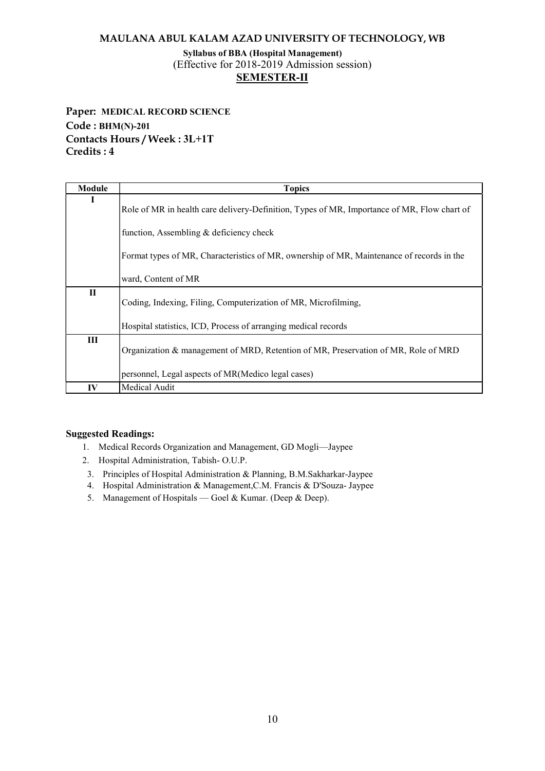# Syllabus of BBA (Hospital Management) (Effective for 2018-2019 Admission session) SEMESTER-II

Paper: MEDICAL RECORD SCIENCE Code : BHM(N)-201 Contacts Hours / Week : 3L+1T Credits : 4

| Module       | <b>Topics</b>                                                                                                                            |
|--------------|------------------------------------------------------------------------------------------------------------------------------------------|
| п            | Role of MR in health care delivery-Definition, Types of MR, Importance of MR, Flow chart of                                              |
|              | function, Assembling & deficiency check                                                                                                  |
|              | Format types of MR, Characteristics of MR, ownership of MR, Maintenance of records in the                                                |
|              | ward, Content of MR                                                                                                                      |
| $\mathbf{H}$ | Coding, Indexing, Filing, Computerization of MR, Microfilming,                                                                           |
|              | Hospital statistics, ICD, Process of arranging medical records                                                                           |
| Ш            | Organization & management of MRD, Retention of MR, Preservation of MR, Role of MRD<br>personnel, Legal aspects of MR(Medico legal cases) |
| IV           | Medical Audit                                                                                                                            |

- 1. Medical Records Organization and Management, GD Mogli—Jaypee
- 2. Hospital Administration, Tabish- O.U.P.
- 3. Principles of Hospital Administration & Planning, B.M.Sakharkar-Jaypee
- 4. Hospital Administration & Management,C.M. Francis & D'Souza- Jaypee
- 5. Management of Hospitals Goel & Kumar. (Deep & Deep).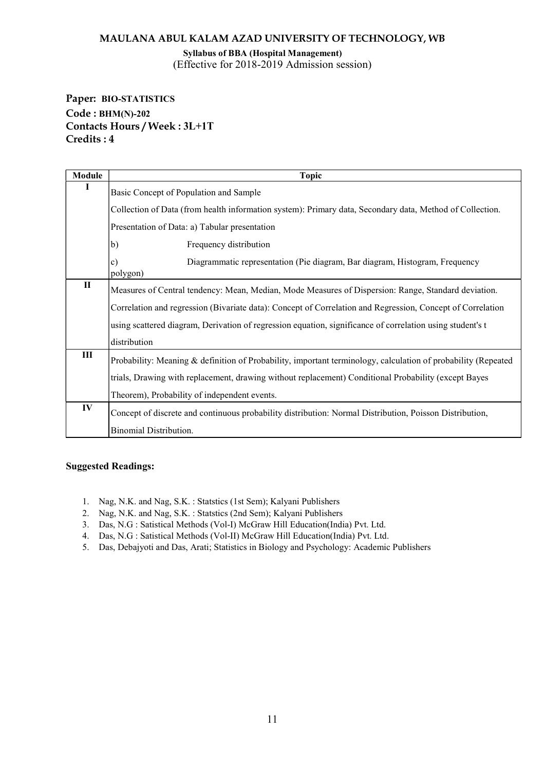Syllabus of BBA (Hospital Management) (Effective for 2018-2019 Admission session)

Paper: BIO-STATISTICS Code : BHM(N)-202 Contacts Hours / Week : 3L+1T Credits : 4

| Module       | Topic                                                                                                         |  |  |  |  |  |
|--------------|---------------------------------------------------------------------------------------------------------------|--|--|--|--|--|
|              | Basic Concept of Population and Sample                                                                        |  |  |  |  |  |
|              | Collection of Data (from health information system): Primary data, Secondary data, Method of Collection.      |  |  |  |  |  |
|              | Presentation of Data: a) Tabular presentation                                                                 |  |  |  |  |  |
|              | b)<br>Frequency distribution                                                                                  |  |  |  |  |  |
|              | Diagrammatic representation (Pie diagram, Bar diagram, Histogram, Frequency<br>$\mathbf{c})$<br>polygon)      |  |  |  |  |  |
| $\mathbf{I}$ | Measures of Central tendency: Mean, Median, Mode Measures of Dispersion: Range, Standard deviation.           |  |  |  |  |  |
|              | Correlation and regression (Bivariate data): Concept of Correlation and Regression, Concept of Correlation    |  |  |  |  |  |
|              | using scattered diagram, Derivation of regression equation, significance of correlation using student's t     |  |  |  |  |  |
|              | distribution                                                                                                  |  |  |  |  |  |
| $\rm III$    | Probability: Meaning & definition of Probability, important terminology, calculation of probability (Repeated |  |  |  |  |  |
|              | trials, Drawing with replacement, drawing without replacement) Conditional Probability (except Bayes          |  |  |  |  |  |
|              | Theorem), Probability of independent events.                                                                  |  |  |  |  |  |
| IV           | Concept of discrete and continuous probability distribution: Normal Distribution, Poisson Distribution,       |  |  |  |  |  |
|              | <b>Binomial Distribution.</b>                                                                                 |  |  |  |  |  |

- 1. Nag, N.K. and Nag, S.K. : Statstics (1st Sem); Kalyani Publishers
- 2. Nag, N.K. and Nag, S.K. : Statstics (2nd Sem); Kalyani Publishers
- 3. Das, N.G : Satistical Methods (Vol-I) McGraw Hill Education(India) Pvt. Ltd.
- 4. Das, N.G : Satistical Methods (Vol-II) McGraw Hill Education(India) Pvt. Ltd.
- 5. Das, Debajyoti and Das, Arati; Statistics in Biology and Psychology: Academic Publishers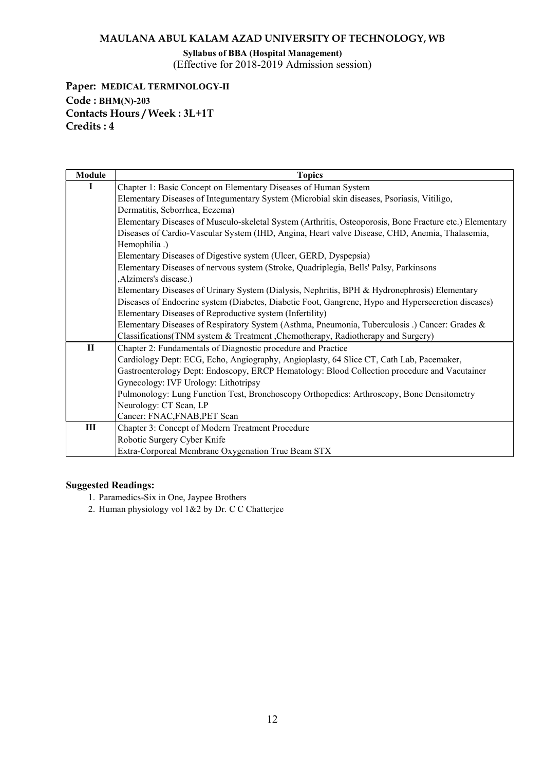Syllabus of BBA (Hospital Management) (Effective for 2018-2019 Admission session)

Paper: MEDICAL TERMINOLOGY-II Code : BHM(N)-203 Contacts Hours / Week : 3L+1T Credits : 4

| Module | <b>Topics</b>                                                                                           |
|--------|---------------------------------------------------------------------------------------------------------|
| L      | Chapter 1: Basic Concept on Elementary Diseases of Human System                                         |
|        | Elementary Diseases of Integumentary System (Microbial skin diseases, Psoriasis, Vitiligo,              |
|        | Dermatitis, Seborrhea, Eczema)                                                                          |
|        | Elementary Diseases of Musculo-skeletal System (Arthritis, Osteoporosis, Bone Fracture etc.) Elementary |
|        | Diseases of Cardio-Vascular System (IHD, Angina, Heart valve Disease, CHD, Anemia, Thalasemia,          |
|        | Hemophilia.)                                                                                            |
|        | Elementary Diseases of Digestive system (Ulcer, GERD, Dyspepsia)                                        |
|        | Elementary Diseases of nervous system (Stroke, Quadriplegia, Bells' Palsy, Parkinsons                   |
|        | ,Alzimers's disease.)                                                                                   |
|        | Elementary Diseases of Urinary System (Dialysis, Nephritis, BPH & Hydronephrosis) Elementary            |
|        | Diseases of Endocrine system (Diabetes, Diabetic Foot, Gangrene, Hypo and Hypersecretion diseases)      |
|        | Elementary Diseases of Reproductive system (Infertility)                                                |
|        | Elementary Diseases of Respiratory System (Asthma, Pneumonia, Tuberculosis .) Cancer: Grades &          |
|        | Classifications (TNM system & Treatment, Chemotherapy, Radiotherapy and Surgery)                        |
| $\Pi$  | Chapter 2: Fundamentals of Diagnostic procedure and Practice                                            |
|        | Cardiology Dept: ECG, Echo, Angiography, Angioplasty, 64 Slice CT, Cath Lab, Pacemaker,                 |
|        | Gastroenterology Dept: Endoscopy, ERCP Hematology: Blood Collection procedure and Vacutainer            |
|        | Gynecology: IVF Urology: Lithotripsy                                                                    |
|        | Pulmonology: Lung Function Test, Bronchoscopy Orthopedics: Arthroscopy, Bone Densitometry               |
|        | Neurology: CT Scan, LP                                                                                  |
|        | Cancer: FNAC, FNAB, PET Scan                                                                            |
| III    | Chapter 3: Concept of Modern Treatment Procedure                                                        |
|        | Robotic Surgery Cyber Knife                                                                             |
|        | Extra-Corporeal Membrane Oxygenation True Beam STX                                                      |

- 1. Paramedics-Six in One, Jaypee Brothers
- 2. Human physiology vol 1&2 by Dr. C C Chatterjee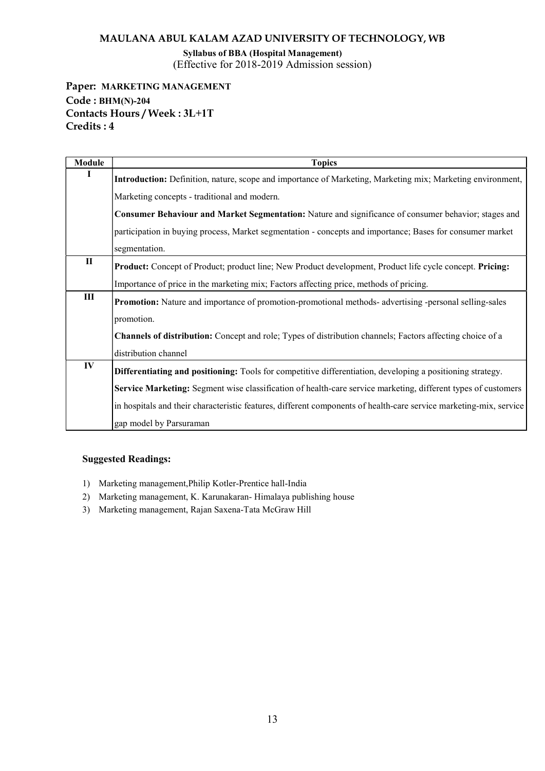Syllabus of BBA (Hospital Management) (Effective for 2018-2019 Admission session)

Paper: MARKETING MANAGEMENT Code : BHM(N)-204 Contacts Hours / Week : 3L+1T Credits : 4

| <b>Module</b>  | <b>Topics</b>                                                                                                      |
|----------------|--------------------------------------------------------------------------------------------------------------------|
|                | Introduction: Definition, nature, scope and importance of Marketing, Marketing mix; Marketing environment,         |
|                | Marketing concepts - traditional and modern.                                                                       |
|                | Consumer Behaviour and Market Segmentation: Nature and significance of consumer behavior; stages and               |
|                | participation in buying process, Market segmentation - concepts and importance; Bases for consumer market          |
|                | segmentation.                                                                                                      |
| $\Pi$          | Product: Concept of Product; product line; New Product development, Product life cycle concept. Pricing:           |
|                | Importance of price in the marketing mix; Factors affecting price, methods of pricing.                             |
| $\mathbf{III}$ | Promotion: Nature and importance of promotion-promotional methods- advertising -personal selling-sales             |
|                | promotion.                                                                                                         |
|                | <b>Channels of distribution:</b> Concept and role; Types of distribution channels; Factors affecting choice of a   |
|                | distribution channel                                                                                               |
| IV             | Differentiating and positioning: Tools for competitive differentiation, developing a positioning strategy.         |
|                | Service Marketing: Segment wise classification of health-care service marketing, different types of customers      |
|                | in hospitals and their characteristic features, different components of health-care service marketing-mix, service |
|                | gap model by Parsuraman                                                                                            |

- 1) Marketing management,Philip Kotler-Prentice hall-India
- 2) Marketing management, K. Karunakaran- Himalaya publishing house
- 3) Marketing management, Rajan Saxena-Tata McGraw Hill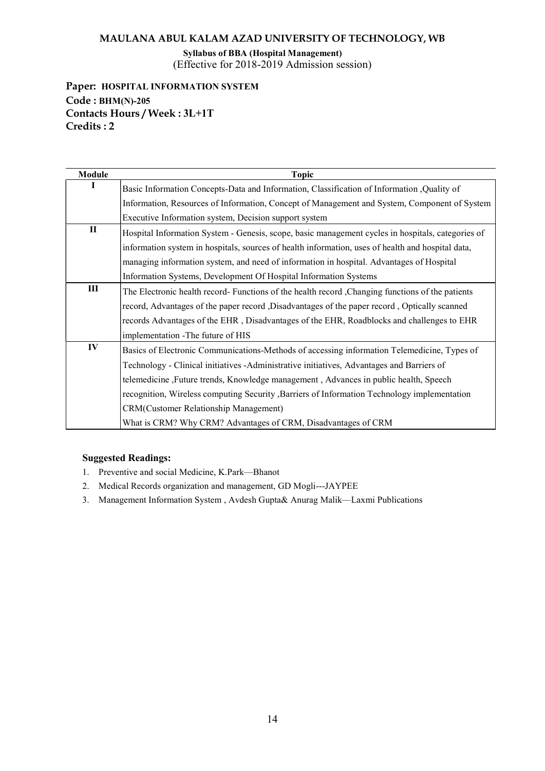Syllabus of BBA (Hospital Management) (Effective for 2018-2019 Admission session)

Paper: HOSPITAL INFORMATION SYSTEM Code : BHM(N)-205 Contacts Hours / Week : 3L+1T Credits : 2

| Module | <b>Topic</b>                                                                                      |
|--------|---------------------------------------------------------------------------------------------------|
|        | Basic Information Concepts-Data and Information, Classification of Information, Quality of        |
|        | Information, Resources of Information, Concept of Management and System, Component of System      |
|        | Executive Information system, Decision support system                                             |
| П      | Hospital Information System - Genesis, scope, basic management cycles in hospitals, categories of |
|        | information system in hospitals, sources of health information, uses of health and hospital data, |
|        | managing information system, and need of information in hospital. Advantages of Hospital          |
|        | Information Systems, Development Of Hospital Information Systems                                  |
| III    | The Electronic health record- Functions of the health record, Changing functions of the patients  |
|        | record, Advantages of the paper record , Disadvantages of the paper record , Optically scanned    |
|        | records Advantages of the EHR, Disadvantages of the EHR, Roadblocks and challenges to EHR         |
|        | implementation - The future of HIS                                                                |
| IV     | Basics of Electronic Communications-Methods of accessing information Telemedicine, Types of       |
|        | Technology - Clinical initiatives - Administrative initiatives, Advantages and Barriers of        |
|        | telemedicine, Future trends, Knowledge management, Advances in public health, Speech              |
|        | recognition, Wireless computing Security , Barriers of Information Technology implementation      |
|        | CRM(Customer Relationship Management)                                                             |
|        | What is CRM? Why CRM? Advantages of CRM, Disadvantages of CRM                                     |

- 1. Preventive and social Medicine, K.Park—Bhanot
- 2. Medical Records organization and management, GD Mogli---JAYPEE
- 3. Management Information System , Avdesh Gupta& Anurag Malik—Laxmi Publications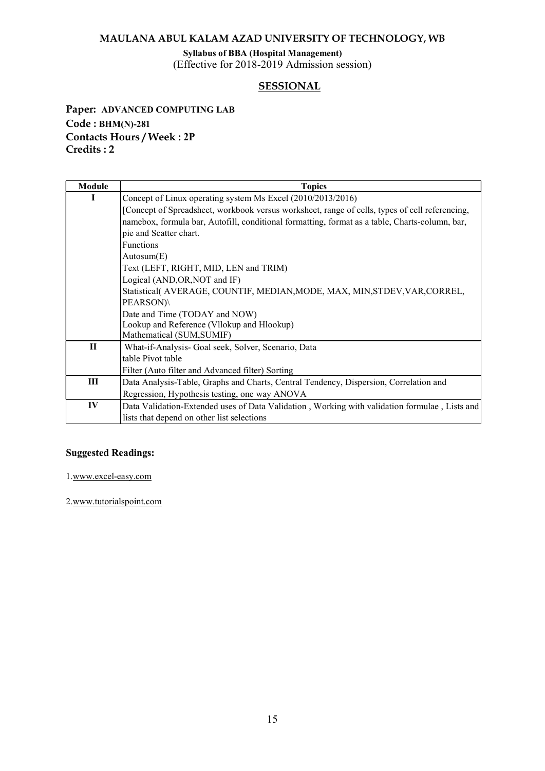Syllabus of BBA (Hospital Management)

(Effective for 2018-2019 Admission session)

# SESSIONAL

Paper: ADVANCED COMPUTING LAB Code : BHM(N)-281 Contacts Hours / Week : 2P Credits : 2

| Module | <b>Topics</b>                                                                                  |
|--------|------------------------------------------------------------------------------------------------|
| п      | Concept of Linux operating system Ms Excel (2010/2013/2016)                                    |
|        | [Concept of Spreadsheet, workbook versus worksheet, range of cells, types of cell referencing, |
|        | namebox, formula bar, Autofill, conditional formatting, format as a table, Charts-column, bar, |
|        | pie and Scatter chart.                                                                         |
|        | <b>Functions</b>                                                                               |
|        | Autosum(E)                                                                                     |
|        | Text (LEFT, RIGHT, MID, LEN and TRIM)                                                          |
|        | Logical (AND, OR, NOT and IF)                                                                  |
|        | Statistical( AVERAGE, COUNTIF, MEDIAN, MODE, MAX, MIN, STDEV, VAR, CORREL,                     |
|        | PEARSON)\                                                                                      |
|        | Date and Time (TODAY and NOW)                                                                  |
|        | Lookup and Reference (Vllokup and Hlookup)                                                     |
|        | Mathematical (SUM, SUMIF)                                                                      |
| $\Pi$  | What-if-Analysis- Goal seek, Solver, Scenario, Data                                            |
|        | table Pivot table                                                                              |
|        | Filter (Auto filter and Advanced filter) Sorting                                               |
| Ш      | Data Analysis-Table, Graphs and Charts, Central Tendency, Dispersion, Correlation and          |
|        | Regression, Hypothesis testing, one way ANOVA                                                  |
| IV     | Data Validation-Extended uses of Data Validation, Working with validation formulae, Lists and  |
|        | lists that depend on other list selections                                                     |

#### Suggested Readings:

1.www.excel-easy.com

2.www.tutorialspoint.com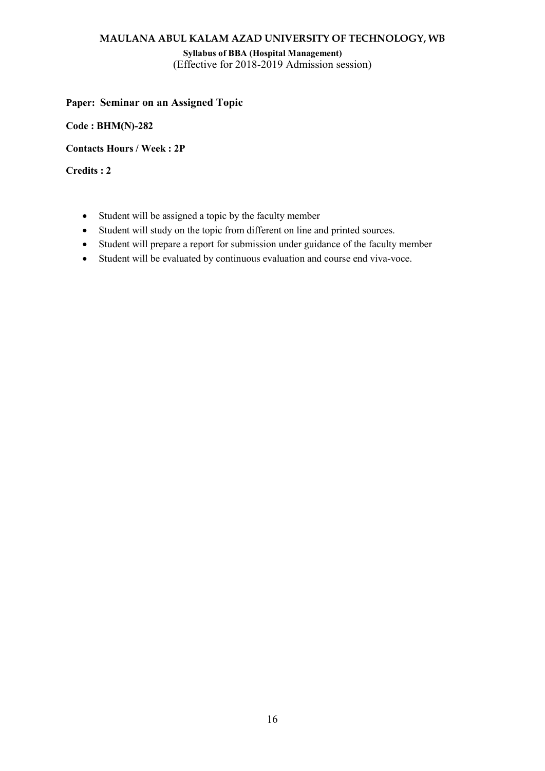Syllabus of BBA (Hospital Management) (Effective for 2018-2019 Admission session)

# Paper: Seminar on an Assigned Topic

Code : BHM(N)-282

Contacts Hours / Week : 2P

Credits : 2

- Student will be assigned a topic by the faculty member
- Student will study on the topic from different on line and printed sources.
- Student will prepare a report for submission under guidance of the faculty member
- Student will be evaluated by continuous evaluation and course end viva-voce.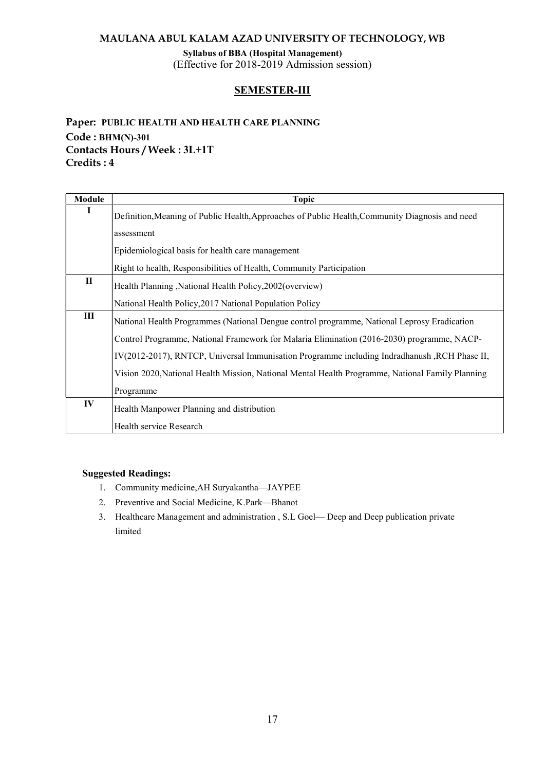Syllabus of BBA (Hospital Management) (Effective for 2018-2019 Admission session)

# SEMESTER-III

# Paper: PUBLIC HEALTH AND HEALTH CARE PLANNING Code : BHM(N)-301 Contacts Hours / Week : 3L+1T Credits : 4

| <b>Module</b> | <b>Topic</b>                                                                                     |
|---------------|--------------------------------------------------------------------------------------------------|
| п             | Definition, Meaning of Public Health, Approaches of Public Health, Community Diagnosis and need  |
|               | assessment                                                                                       |
|               | Epidemiological basis for health care management                                                 |
|               | Right to health, Responsibilities of Health, Community Participation                             |
| $\mathbf{I}$  | Health Planning, National Health Policy, 2002 (overview)                                         |
|               | National Health Policy, 2017 National Population Policy                                          |
| III           | National Health Programmes (National Dengue control programme, National Leprosy Eradication      |
|               | Control Programme, National Framework for Malaria Elimination (2016-2030) programme, NACP-       |
|               | IV(2012-2017), RNTCP, Universal Immunisation Programme including Indradhanush, RCH Phase II,     |
|               | Vision 2020, National Health Mission, National Mental Health Programme, National Family Planning |
|               | Programme                                                                                        |
| IV            | Health Manpower Planning and distribution                                                        |
|               | Health service Research                                                                          |

- 1. Community medicine,AH Suryakantha—JAYPEE
- 2. Preventive and Social Medicine, K.Park—Bhanot
- 3. Healthcare Management and administration , S.L Goel— Deep and Deep publication private limited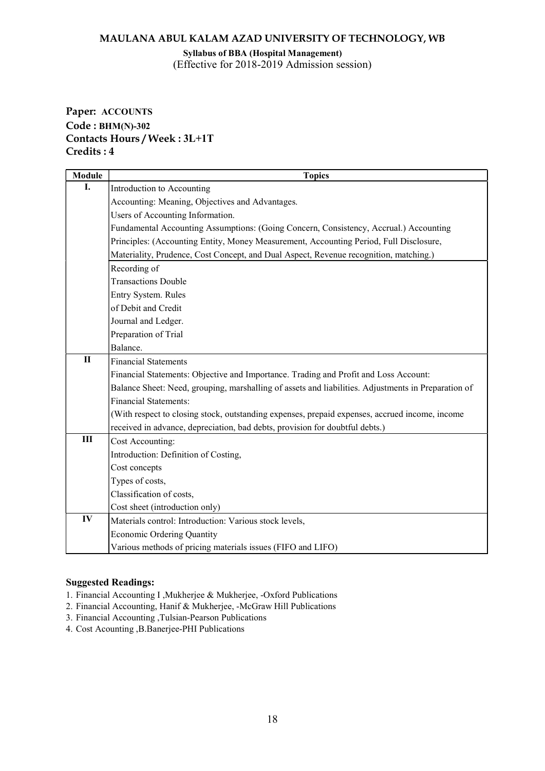Syllabus of BBA (Hospital Management) (Effective for 2018-2019 Admission session)

# Paper: ACCOUNTS Code : BHM(N)-302 Contacts Hours / Week : 3L+1T Credits : 4

| <b>Module</b> | <b>Topics</b>                                                                                       |
|---------------|-----------------------------------------------------------------------------------------------------|
| I.            | Introduction to Accounting                                                                          |
|               | Accounting: Meaning, Objectives and Advantages.                                                     |
|               | Users of Accounting Information.                                                                    |
|               | Fundamental Accounting Assumptions: (Going Concern, Consistency, Accrual.) Accounting               |
|               | Principles: (Accounting Entity, Money Measurement, Accounting Period, Full Disclosure,              |
|               | Materiality, Prudence, Cost Concept, and Dual Aspect, Revenue recognition, matching.)               |
|               | Recording of                                                                                        |
|               | <b>Transactions Double</b>                                                                          |
|               | Entry System. Rules                                                                                 |
|               | of Debit and Credit                                                                                 |
|               | Journal and Ledger.                                                                                 |
|               | Preparation of Trial                                                                                |
|               | Balance.                                                                                            |
| $\mathbf{I}$  | <b>Financial Statements</b>                                                                         |
|               | Financial Statements: Objective and Importance. Trading and Profit and Loss Account:                |
|               | Balance Sheet: Need, grouping, marshalling of assets and liabilities. Adjustments in Preparation of |
|               | <b>Financial Statements:</b>                                                                        |
|               | (With respect to closing stock, outstanding expenses, prepaid expenses, accrued income, income      |
|               | received in advance, depreciation, bad debts, provision for doubtful debts.)                        |
| Ш             | Cost Accounting:                                                                                    |
|               | Introduction: Definition of Costing,                                                                |
|               | Cost concepts                                                                                       |
|               | Types of costs,                                                                                     |
|               | Classification of costs,                                                                            |
|               | Cost sheet (introduction only)                                                                      |
| IV            | Materials control: Introduction: Various stock levels,                                              |
|               | <b>Economic Ordering Quantity</b>                                                                   |
|               | Various methods of pricing materials issues (FIFO and LIFO)                                         |

- 1. Financial Accounting I ,Mukherjee & Mukherjee, -Oxford Publications
- 2. Financial Accounting, Hanif & Mukherjee, -McGraw Hill Publications
- 3. Financial Accounting ,Tulsian-Pearson Publications
- 4. Cost Acounting ,B.Banerjee-PHI Publications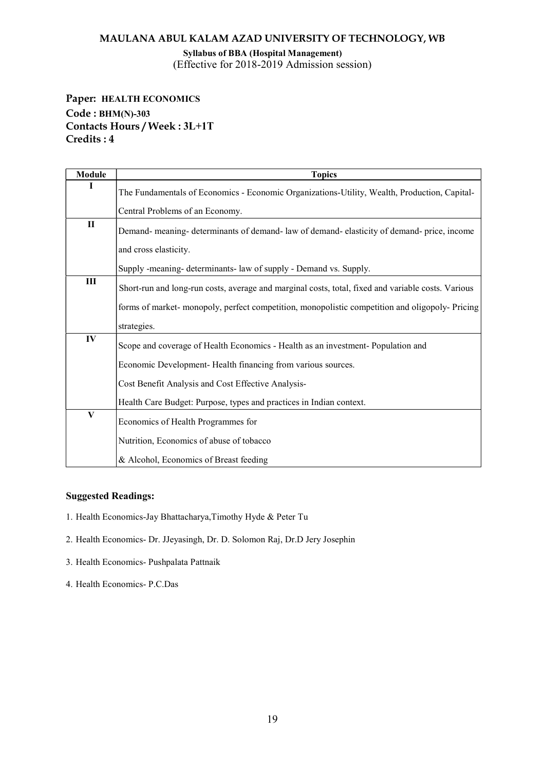Syllabus of BBA (Hospital Management) (Effective for 2018-2019 Admission session)

Paper: HEALTH ECONOMICS Code : BHM(N)-303 Contacts Hours / Week : 3L+1T Credits : 4

| <b>Module</b> | <b>Topics</b>                                                                                      |
|---------------|----------------------------------------------------------------------------------------------------|
| I             | The Fundamentals of Economics - Economic Organizations-Utility, Wealth, Production, Capital-       |
|               | Central Problems of an Economy.                                                                    |
| $\mathbf{I}$  | Demand- meaning- determinants of demand- law of demand- elasticity of demand- price, income        |
|               | and cross elasticity.                                                                              |
|               | Supply -meaning- determinants- law of supply - Demand vs. Supply.                                  |
| Ш             | Short-run and long-run costs, average and marginal costs, total, fixed and variable costs. Various |
|               | forms of market- monopoly, perfect competition, monopolistic competition and oligopoly- Pricing    |
|               | strategies.                                                                                        |
| IV            | Scope and coverage of Health Economics - Health as an investment-Population and                    |
|               | Economic Development-Health financing from various sources.                                        |
|               | Cost Benefit Analysis and Cost Effective Analysis-                                                 |
|               | Health Care Budget: Purpose, types and practices in Indian context.                                |
| $\mathbf{V}$  | Economics of Health Programmes for                                                                 |
|               | Nutrition, Economics of abuse of tobacco                                                           |
|               | & Alcohol, Economics of Breast feeding                                                             |

- 1. Health Economics-Jay Bhattacharya,Timothy Hyde & Peter Tu
- 2. Health Economics- Dr. JJeyasingh, Dr. D. Solomon Raj, Dr.D Jery Josephin
- 3. Health Economics- Pushpalata Pattnaik
- 4. Health Economics- P.C.Das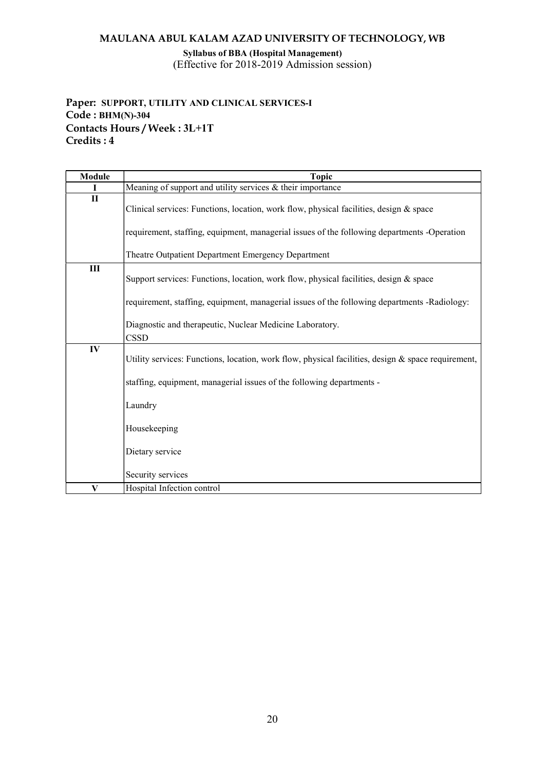Syllabus of BBA (Hospital Management) (Effective for 2018-2019 Admission session)

# Paper: SUPPORT, UTILITY AND CLINICAL SERVICES-I Code : BHM(N)-304 Contacts Hours / Week : 3L+1T Credits : 4

| <b>Module</b> | <b>Topic</b>                                                                                       |
|---------------|----------------------------------------------------------------------------------------------------|
| T             | Meaning of support and utility services $&$ their importance                                       |
| $\mathbf{I}$  | Clinical services: Functions, location, work flow, physical facilities, design & space             |
|               | requirement, staffing, equipment, managerial issues of the following departments -Operation        |
|               | Theatre Outpatient Department Emergency Department                                                 |
| III           | Support services: Functions, location, work flow, physical facilities, design & space              |
|               | requirement, staffing, equipment, managerial issues of the following departments -Radiology:       |
|               | Diagnostic and therapeutic, Nuclear Medicine Laboratory.<br><b>CSSD</b>                            |
| IV            | Utility services: Functions, location, work flow, physical facilities, design & space requirement, |
|               | staffing, equipment, managerial issues of the following departments -                              |
|               | Laundry                                                                                            |
|               | Housekeeping                                                                                       |
|               | Dietary service                                                                                    |
|               | Security services                                                                                  |
| V             | Hospital Infection control                                                                         |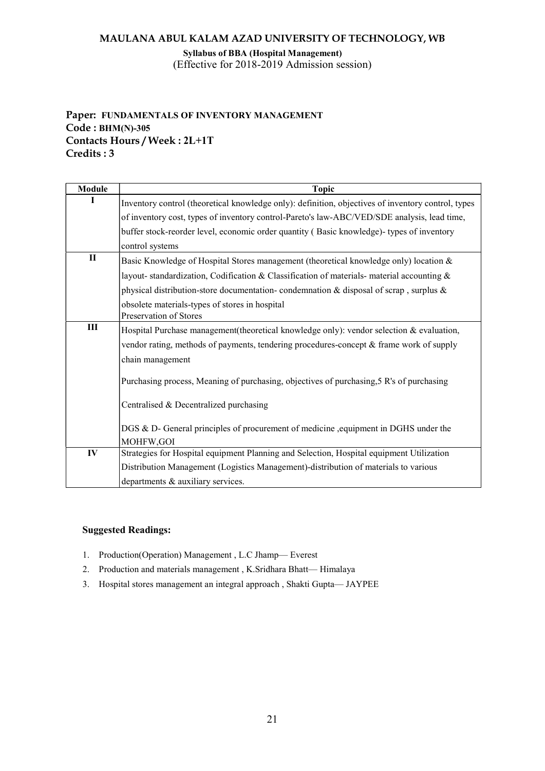Syllabus of BBA (Hospital Management) (Effective for 2018-2019 Admission session)

# Paper: FUNDAMENTALS OF INVENTORY MANAGEMENT Code : BHM(N)-305 Contacts Hours / Week : 2L+1T Credits : 3

| Module       | <b>Topic</b>                                                                                       |
|--------------|----------------------------------------------------------------------------------------------------|
|              | Inventory control (theoretical knowledge only): definition, objectives of inventory control, types |
|              | of inventory cost, types of inventory control-Pareto's law-ABC/VED/SDE analysis, lead time,        |
|              | buffer stock-reorder level, economic order quantity (Basic knowledge)- types of inventory          |
|              | control systems                                                                                    |
| $\mathbf{I}$ | Basic Knowledge of Hospital Stores management (theoretical knowledge only) location &              |
|              | layout-standardization, Codification & Classification of materials-material accounting $\&$        |
|              | physical distribution-store documentation-condemnation & disposal of scrap, surplus $\&$           |
|              | obsolete materials-types of stores in hospital                                                     |
|              | Preservation of Stores                                                                             |
| Ш            | Hospital Purchase management (theoretical knowledge only): vendor selection $\&$ evaluation,       |
|              | vendor rating, methods of payments, tendering procedures-concept & frame work of supply            |
|              | chain management                                                                                   |
|              | Purchasing process, Meaning of purchasing, objectives of purchasing, 5 R's of purchasing           |
|              | Centralised & Decentralized purchasing                                                             |
|              | DGS & D- General principles of procurement of medicine , equipment in DGHS under the               |
|              | MOHFW, GOI                                                                                         |
| IV           | Strategies for Hospital equipment Planning and Selection, Hospital equipment Utilization           |
|              | Distribution Management (Logistics Management)-distribution of materials to various                |
|              | departments & auxiliary services.                                                                  |

- 1. Production(Operation) Management , L.C Jhamp— Everest
- 2. Production and materials management , K.Sridhara Bhatt— Himalaya
- 3. Hospital stores management an integral approach , Shakti Gupta— JAYPEE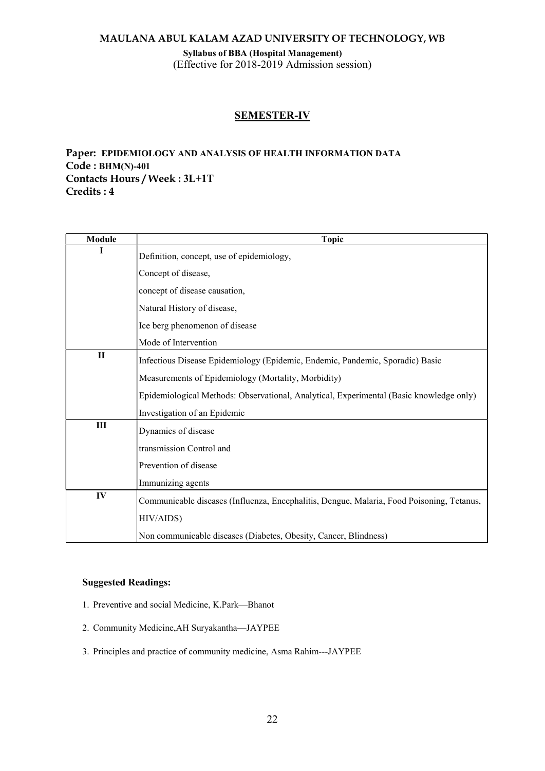Syllabus of BBA (Hospital Management) (Effective for 2018-2019 Admission session)

# SEMESTER-IV

# Paper: EPIDEMIOLOGY AND ANALYSIS OF HEALTH INFORMATION DATA Code : BHM(N)-401 Contacts Hours / Week : 3L+1T Credits : 4

| Module       | <b>Topic</b>                                                                              |
|--------------|-------------------------------------------------------------------------------------------|
| I            | Definition, concept, use of epidemiology,                                                 |
|              | Concept of disease,                                                                       |
|              | concept of disease causation,                                                             |
|              | Natural History of disease,                                                               |
|              | Ice berg phenomenon of disease                                                            |
|              | Mode of Intervention                                                                      |
| $\mathbf{I}$ | Infectious Disease Epidemiology (Epidemic, Endemic, Pandemic, Sporadic) Basic             |
|              | Measurements of Epidemiology (Mortality, Morbidity)                                       |
|              | Epidemiological Methods: Observational, Analytical, Experimental (Basic knowledge only)   |
|              | Investigation of an Epidemic                                                              |
| III          | Dynamics of disease                                                                       |
|              | transmission Control and                                                                  |
|              | Prevention of disease                                                                     |
|              | Immunizing agents                                                                         |
| IV           | Communicable diseases (Influenza, Encephalitis, Dengue, Malaria, Food Poisoning, Tetanus, |
|              | HIV/AIDS)                                                                                 |
|              | Non communicable diseases (Diabetes, Obesity, Cancer, Blindness)                          |

- 1. Preventive and social Medicine, K.Park—Bhanot
- 2. Community Medicine,AH Suryakantha—JAYPEE
- 3. Principles and practice of community medicine, Asma Rahim---JAYPEE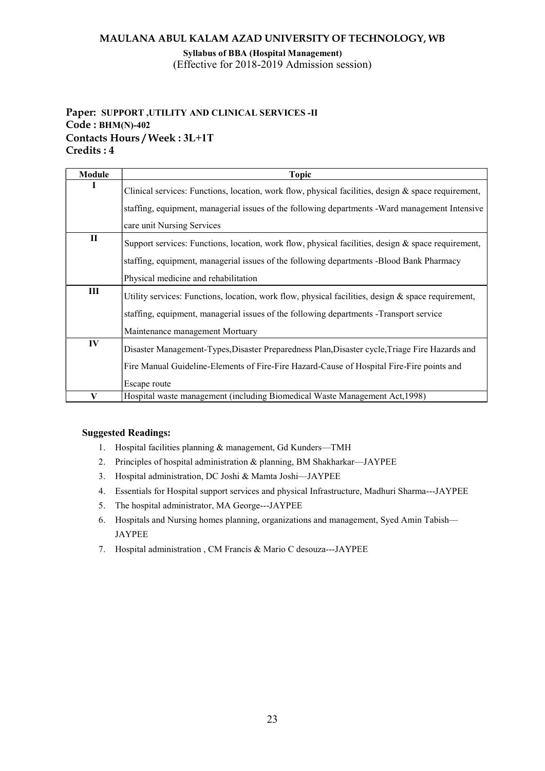Syllabus of BBA (Hospital Management) (Effective for 2018-2019 Admission session)

# Paper: SUPPORT ,UTILITY AND CLINICAL SERVICES -II Code : BHM(N)-402 Contacts Hours / Week : 3L+1T Credits : 4

| Module       | <b>Topic</b>                                                                                          |
|--------------|-------------------------------------------------------------------------------------------------------|
|              | Clinical services: Functions, location, work flow, physical facilities, design & space requirement,   |
|              | staffing, equipment, managerial issues of the following departments - Ward management Intensive       |
|              | care unit Nursing Services                                                                            |
| $\mathbf{I}$ | Support services: Functions, location, work flow, physical facilities, design & space requirement,    |
|              | staffing, equipment, managerial issues of the following departments -Blood Bank Pharmacy              |
|              | Physical medicine and rehabilitation                                                                  |
| Ш            | Utility services: Functions, location, work flow, physical facilities, design $\&$ space requirement, |
|              | staffing, equipment, managerial issues of the following departments - Transport service               |
|              | Maintenance management Mortuary                                                                       |
| IV           | Disaster Management-Types, Disaster Preparedness Plan, Disaster cycle, Triage Fire Hazards and        |
|              | Fire Manual Guideline-Elements of Fire-Fire Hazard-Cause of Hospital Fire-Fire points and             |
|              | Escape route                                                                                          |
| V            | Hospital waste management (including Biomedical Waste Management Act, 1998)                           |

- 1. Hospital facilities planning & management, Gd Kunders—TMH
- 2. Principles of hospital administration & planning, BM Shakharkar—JAYPEE
- 3. Hospital administration, DC Joshi & Mamta Joshi—JAYPEE
- 4. Essentials for Hospital support services and physical Infrastructure, Madhuri Sharma---JAYPEE
- 5. The hospital administrator, MA George---JAYPEE
- 6. Hospitals and Nursing homes planning, organizations and management, Syed Amin Tabish— JAYPEE
- 7. Hospital administration , CM Francis & Mario C desouza---JAYPEE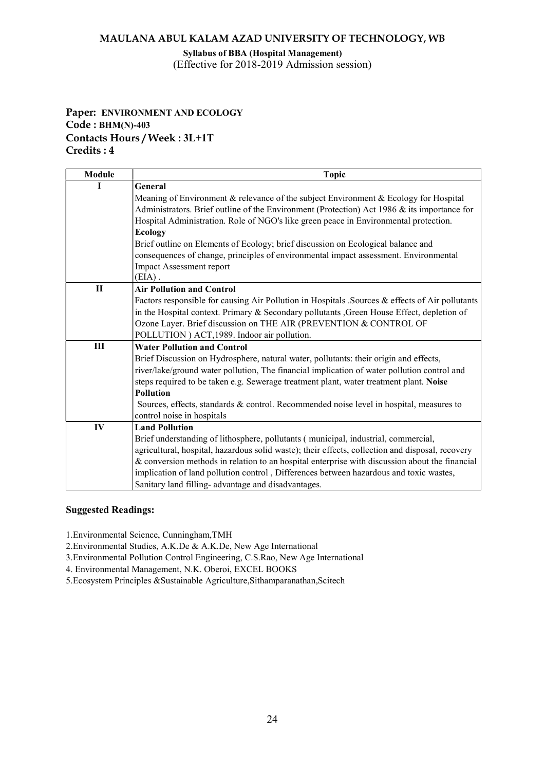#### Syllabus of BBA (Hospital Management) (Effective for 2018-2019 Admission session)

# Paper: ENVIRONMENT AND ECOLOGY Code : BHM(N)-403 Contacts Hours / Week : 3L+1T Credits : 4

| Module | <b>Topic</b>                                                                                     |
|--------|--------------------------------------------------------------------------------------------------|
|        | General                                                                                          |
|        | Meaning of Environment & relevance of the subject Environment & Ecology for Hospital             |
|        | Administrators. Brief outline of the Environment (Protection) Act 1986 $\&$ its importance for   |
|        | Hospital Administration. Role of NGO's like green peace in Environmental protection.             |
|        | <b>Ecology</b>                                                                                   |
|        | Brief outline on Elements of Ecology; brief discussion on Ecological balance and                 |
|        | consequences of change, principles of environmental impact assessment. Environmental             |
|        | Impact Assessment report                                                                         |
|        | $(EIA)$ .                                                                                        |
| $\Pi$  | <b>Air Pollution and Control</b>                                                                 |
|        | Factors responsible for causing Air Pollution in Hospitals . Sources & effects of Air pollutants |
|        | in the Hospital context. Primary & Secondary pollutants , Green House Effect, depletion of       |
|        | Ozone Layer. Brief discussion on THE AIR (PREVENTION & CONTROL OF                                |
|        | POLLUTION ) ACT, 1989. Indoor air pollution.                                                     |
| III    | <b>Water Pollution and Control</b>                                                               |
|        | Brief Discussion on Hydrosphere, natural water, pollutants: their origin and effects,            |
|        | river/lake/ground water pollution, The financial implication of water pollution control and      |
|        | steps required to be taken e.g. Sewerage treatment plant, water treatment plant. Noise           |
|        | <b>Pollution</b>                                                                                 |
|        | Sources, effects, standards & control. Recommended noise level in hospital, measures to          |
|        | control noise in hospitals                                                                       |
| IV     | <b>Land Pollution</b>                                                                            |
|        | Brief understanding of lithosphere, pollutants (municipal, industrial, commercial,               |
|        | agricultural, hospital, hazardous solid waste); their effects, collection and disposal, recovery |
|        | & conversion methods in relation to an hospital enterprise with discussion about the financial   |
|        | implication of land pollution control, Differences between hazardous and toxic wastes,           |
|        | Sanitary land filling- advantage and disadvantages.                                              |

#### Suggested Readings:

1.Environmental Science, Cunningham,TMH

2.Environmental Studies, A.K.De & A.K.De, New Age International

3.Environmental Pollution Control Engineering, C.S.Rao, New Age International

4. Environmental Management, N.K. Oberoi, EXCEL BOOKS

5.Ecosystem Principles &Sustainable Agriculture,Sithamparanathan,Scitech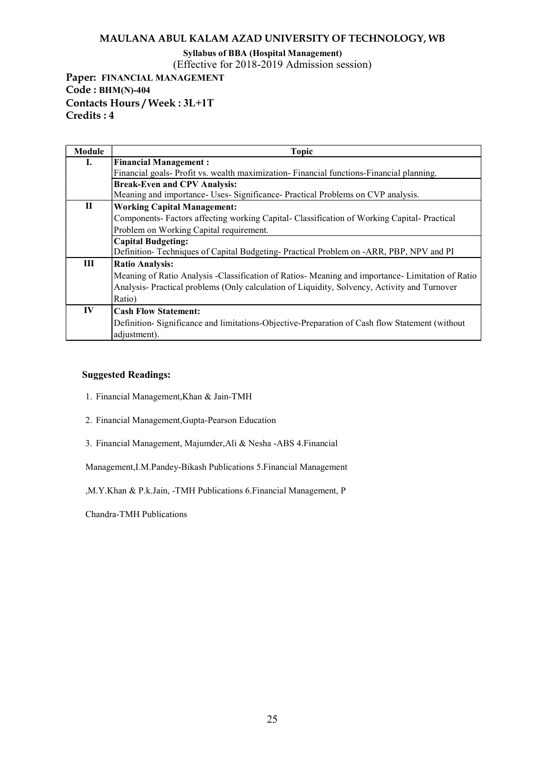# Syllabus of BBA (Hospital Management)

(Effective for 2018-2019 Admission session)

Paper: FINANCIAL MANAGEMENT Code : BHM(N)-404 Contacts Hours / Week : 3L+1T Credits : 4

| Module    | <b>Topic</b>                                                                                   |
|-----------|------------------------------------------------------------------------------------------------|
| L.        | <b>Financial Management:</b>                                                                   |
|           | Financial goals- Profit vs. wealth maximization- Financial functions-Financial planning.       |
|           | <b>Break-Even and CPV Analysis:</b>                                                            |
|           | Meaning and importance- Uses- Significance- Practical Problems on CVP analysis.                |
| П         | <b>Working Capital Management:</b>                                                             |
|           | Components-Factors affecting working Capital-Classification of Working Capital-Practical       |
|           | Problem on Working Capital requirement.                                                        |
|           | <b>Capital Budgeting:</b>                                                                      |
|           | Definition-Techniques of Capital Budgeting-Practical Problem on -ARR, PBP, NPV and PI          |
| Ш         | <b>Ratio Analysis:</b>                                                                         |
|           | Meaning of Ratio Analysis -Classification of Ratios-Meaning and importance-Limitation of Ratio |
|           | Analysis- Practical problems (Only calculation of Liquidity, Solvency, Activity and Turnover   |
|           | Ratio)                                                                                         |
| $\bf{IV}$ | <b>Cash Flow Statement:</b>                                                                    |
|           | Definition-Significance and limitations-Objective-Preparation of Cash flow Statement (without  |
|           | adjustment).                                                                                   |

#### Suggested Readings:

- 1. Financial Management,Khan & Jain-TMH
- 2. Financial Management,Gupta-Pearson Education
- 3. Financial Management, Majumder,Ali & Nesha -ABS 4.Financial

Management,I.M.Pandey-Bikash Publications 5.Financial Management

,M.Y.Khan & P.k.Jain, -TMH Publications 6.Financial Management, P

Chandra-TMH Publications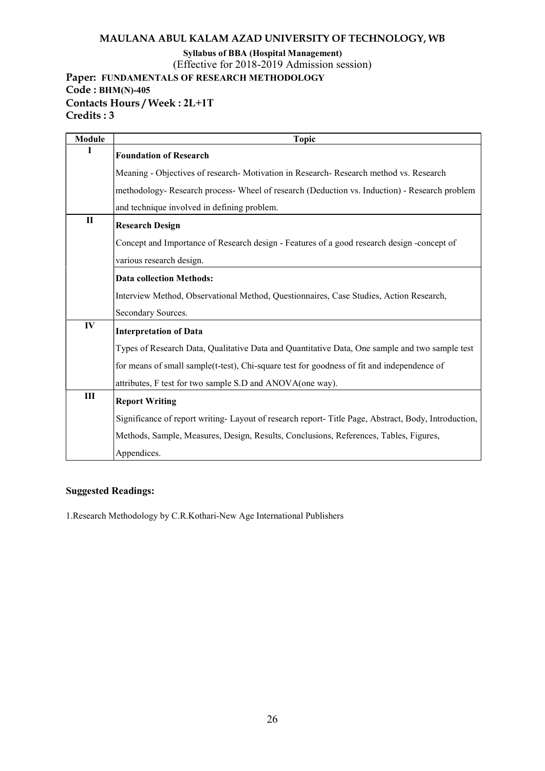Syllabus of BBA (Hospital Management)

(Effective for 2018-2019 Admission session)

Paper: FUNDAMENTALS OF RESEARCH METHODOLOGY

Code : BHM(N)-405 Contacts Hours / Week : 2L+1T Credits : 3

| <b>Module</b> | <b>Topic</b>                                                                                       |
|---------------|----------------------------------------------------------------------------------------------------|
| T             | <b>Foundation of Research</b>                                                                      |
|               | Meaning - Objectives of research- Motivation in Research- Research method vs. Research             |
|               | methodology- Research process- Wheel of research (Deduction vs. Induction) - Research problem      |
|               | and technique involved in defining problem.                                                        |
| $\mathbf{I}$  | <b>Research Design</b>                                                                             |
|               | Concept and Importance of Research design - Features of a good research design -concept of         |
|               | various research design.                                                                           |
|               | <b>Data collection Methods:</b>                                                                    |
|               | Interview Method, Observational Method, Questionnaires, Case Studies, Action Research,             |
|               | Secondary Sources.                                                                                 |
| IV            | <b>Interpretation of Data</b>                                                                      |
|               | Types of Research Data, Qualitative Data and Quantitative Data, One sample and two sample test     |
|               | for means of small sample(t-test), Chi-square test for goodness of fit and independence of         |
|               | attributes, F test for two sample S.D and ANOVA(one way).                                          |
| Ш             | <b>Report Writing</b>                                                                              |
|               | Significance of report writing-Layout of research report-Title Page, Abstract, Body, Introduction, |
|               | Methods, Sample, Measures, Design, Results, Conclusions, References, Tables, Figures,              |
|               | Appendices.                                                                                        |

# Suggested Readings:

1.Research Methodology by C.R.Kothari-New Age International Publishers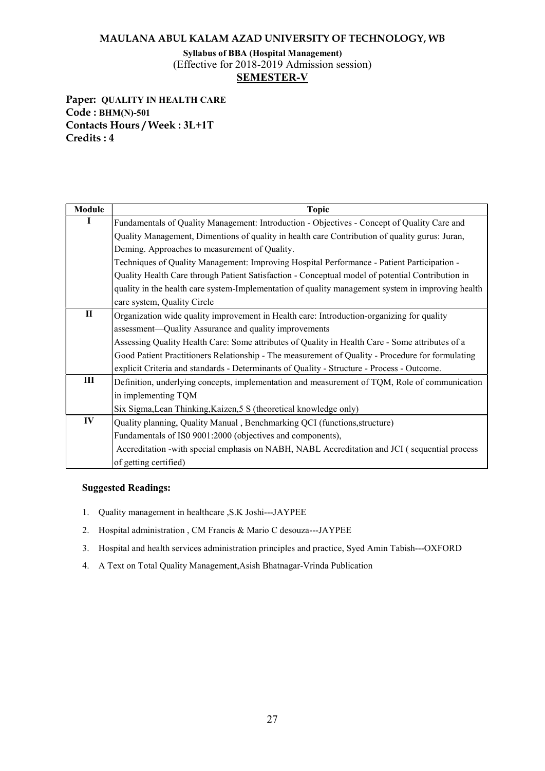# Syllabus of BBA (Hospital Management) (Effective for 2018-2019 Admission session) SEMESTER-V

Paper: QUALITY IN HEALTH CARE Code : BHM(N)-501 Contacts Hours / Week : 3L+1T Credits : 4

| <b>Module</b> | <b>Topic</b>                                                                                      |
|---------------|---------------------------------------------------------------------------------------------------|
| I             | Fundamentals of Quality Management: Introduction - Objectives - Concept of Quality Care and       |
|               | Quality Management, Dimentions of quality in health care Contribution of quality gurus: Juran,    |
|               | Deming. Approaches to measurement of Quality.                                                     |
|               | Techniques of Quality Management: Improving Hospital Performance - Patient Participation -        |
|               | Quality Health Care through Patient Satisfaction - Conceptual model of potential Contribution in  |
|               | quality in the health care system-Implementation of quality management system in improving health |
|               | care system, Quality Circle                                                                       |
| $\mathbf{I}$  | Organization wide quality improvement in Health care: Introduction-organizing for quality         |
|               | assessment—Quality Assurance and quality improvements                                             |
|               | Assessing Quality Health Care: Some attributes of Quality in Health Care - Some attributes of a   |
|               | Good Patient Practitioners Relationship - The measurement of Quality - Procedure for formulating  |
|               | explicit Criteria and standards - Determinants of Quality - Structure - Process - Outcome.        |
| Ш             | Definition, underlying concepts, implementation and measurement of TQM, Role of communication     |
|               | in implementing TQM                                                                               |
|               | Six Sigma, Lean Thinking, Kaizen, 5 S (theoretical knowledge only)                                |
| IV            | Quality planning, Quality Manual, Benchmarking QCI (functions, structure)                         |
|               | Fundamentals of IS0 9001:2000 (objectives and components),                                        |
|               | Accreditation -with special emphasis on NABH, NABL Accreditation and JCI (sequential process      |
|               | of getting certified)                                                                             |

- 1. Quality management in healthcare ,S.K Joshi---JAYPEE
- 2. Hospital administration , CM Francis & Mario C desouza---JAYPEE
- 3. Hospital and health services administration principles and practice, Syed Amin Tabish---OXFORD
- 4. A Text on Total Quality Management,Asish Bhatnagar-Vrinda Publication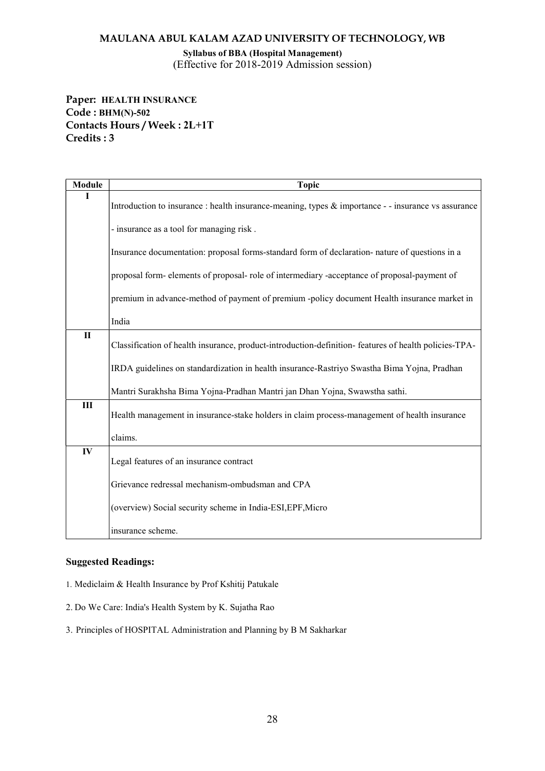Syllabus of BBA (Hospital Management) (Effective for 2018-2019 Admission session)

Paper: HEALTH INSURANCE Code : BHM(N)-502 Contacts Hours / Week : 2L+1T Credits : 3

| Module       | <b>Topic</b>                                                                                         |
|--------------|------------------------------------------------------------------------------------------------------|
|              | Introduction to insurance : health insurance-meaning, types & importance - - insurance vs assurance  |
|              | - insurance as a tool for managing risk.                                                             |
|              | Insurance documentation: proposal forms-standard form of declaration- nature of questions in a       |
|              | proposal form-elements of proposal-role of intermediary -acceptance of proposal-payment of           |
|              | premium in advance-method of payment of premium -policy document Health insurance market in          |
|              | India                                                                                                |
| $\mathbf{I}$ | Classification of health insurance, product-introduction-definition-features of health policies-TPA- |
|              | IRDA guidelines on standardization in health insurance-Rastriyo Swastha Bima Yojna, Pradhan          |
|              | Mantri Surakhsha Bima Yojna-Pradhan Mantri jan Dhan Yojna, Swawstha sathi.                           |
| Ш            | Health management in insurance-stake holders in claim process-management of health insurance         |
|              | claims.                                                                                              |
| IV           | Legal features of an insurance contract                                                              |
|              | Grievance redressal mechanism-ombudsman and CPA                                                      |
|              | (overview) Social security scheme in India-ESI, EPF, Micro                                           |
|              | insurance scheme.                                                                                    |

#### Suggested Readings:

1. Mediclaim & Health Insurance by Prof Kshitij Patukale

2. Do We Care: India's Health System by K. Sujatha Rao

3. Principles of HOSPITAL Administration and Planning by B M Sakharkar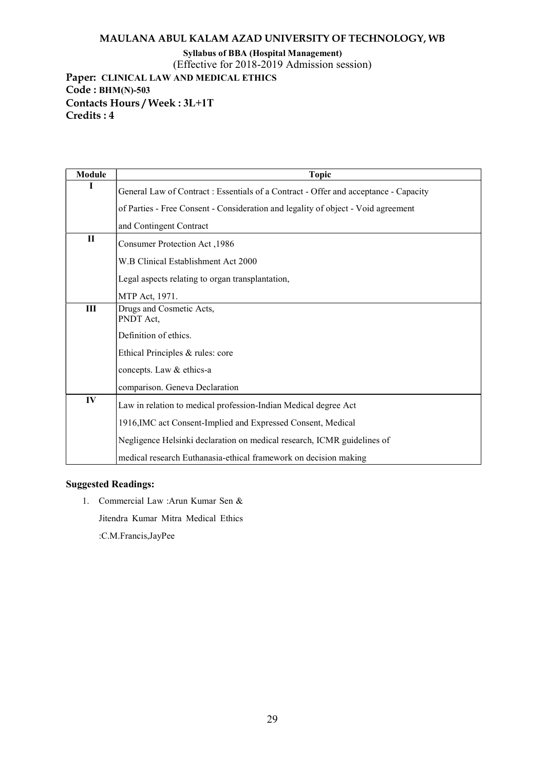Syllabus of BBA (Hospital Management)

(Effective for 2018-2019 Admission session)

Paper: CLINICAL LAW AND MEDICAL ETHICS Code : BHM(N)-503 Contacts Hours / Week : 3L+1T Credits : 4

| <b>Module</b> | <b>Topic</b>                                                                         |
|---------------|--------------------------------------------------------------------------------------|
| I             | General Law of Contract : Essentials of a Contract - Offer and acceptance - Capacity |
|               | of Parties - Free Consent - Consideration and legality of object - Void agreement    |
|               | and Contingent Contract                                                              |
| $\mathbf{I}$  | Consumer Protection Act, 1986                                                        |
|               | W.B Clinical Establishment Act 2000                                                  |
|               | Legal aspects relating to organ transplantation,                                     |
|               | MTP Act, 1971.                                                                       |
| III           | Drugs and Cosmetic Acts,<br>PNDT Act,                                                |
|               | Definition of ethics.                                                                |
|               | Ethical Principles & rules: core                                                     |
|               | concepts. Law & ethics-a                                                             |
|               | comparison. Geneva Declaration                                                       |
| IV            | Law in relation to medical profession-Indian Medical degree Act                      |
|               | 1916, IMC act Consent-Implied and Expressed Consent, Medical                         |
|               | Negligence Helsinki declaration on medical research, ICMR guidelines of              |
|               | medical research Euthanasia-ethical framework on decision making                     |

### Suggested Readings:

1. Commercial Law :Arun Kumar Sen &

Jitendra Kumar Mitra Medical Ethics

:C.M.Francis,JayPee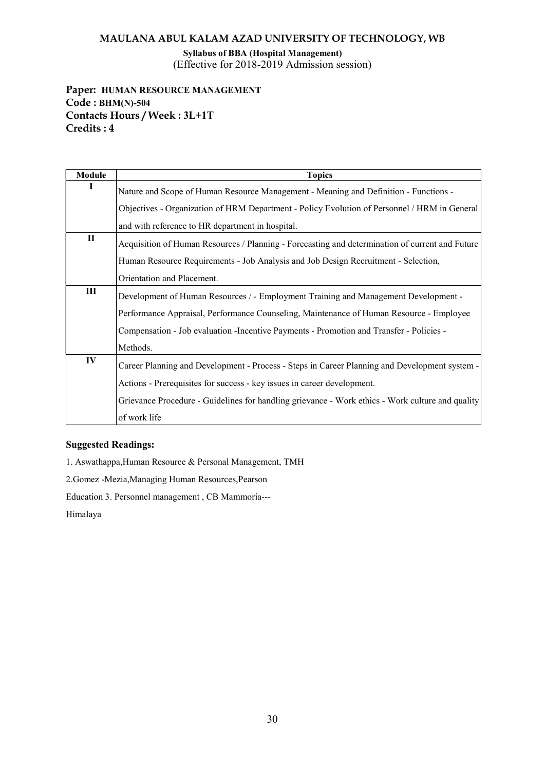Syllabus of BBA (Hospital Management) (Effective for 2018-2019 Admission session)

# Paper: HUMAN RESOURCE MANAGEMENT Code : BHM(N)-504 Contacts Hours / Week : 3L+1T Credits : 4

| <b>Module</b> | <b>Topics</b>                                                                                    |
|---------------|--------------------------------------------------------------------------------------------------|
| -1            | Nature and Scope of Human Resource Management - Meaning and Definition - Functions -             |
|               | Objectives - Organization of HRM Department - Policy Evolution of Personnel / HRM in General     |
|               | and with reference to HR department in hospital.                                                 |
| П             | Acquisition of Human Resources / Planning - Forecasting and determination of current and Future  |
|               | Human Resource Requirements - Job Analysis and Job Design Recruitment - Selection,               |
|               | Orientation and Placement.                                                                       |
| III           | Development of Human Resources / - Employment Training and Management Development -              |
|               | Performance Appraisal, Performance Counseling, Maintenance of Human Resource - Employee          |
|               | Compensation - Job evaluation - Incentive Payments - Promotion and Transfer - Policies -         |
|               | Methods.                                                                                         |
| IV            | Career Planning and Development - Process - Steps in Career Planning and Development system -    |
|               | Actions - Prerequisites for success - key issues in career development.                          |
|               | Grievance Procedure - Guidelines for handling grievance - Work ethics - Work culture and quality |
|               | of work life                                                                                     |

#### Suggested Readings:

1. Aswathappa,Human Resource & Personal Management, TMH

2.Gomez -Mezia,Managing Human Resources,Pearson

Education 3. Personnel management , CB Mammoria---

Himalaya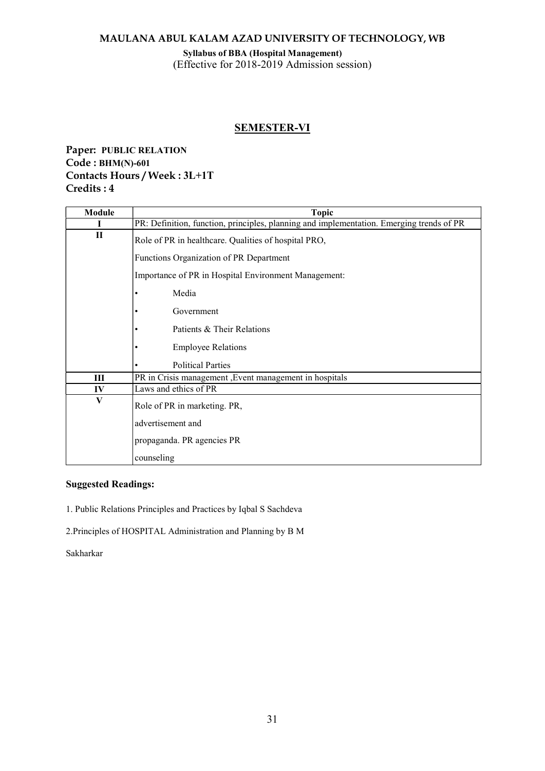#### Syllabus of BBA (Hospital Management) (Effective for 2018-2019 Admission session)

# SEMESTER-VI

# Paper: PUBLIC RELATION Code : BHM(N)-601 Contacts Hours / Week : 3L+1T Credits : 4

| Module       | <b>Topic</b>                                                                             |
|--------------|------------------------------------------------------------------------------------------|
| I            | PR: Definition, function, principles, planning and implementation. Emerging trends of PR |
| $\mathbf{I}$ | Role of PR in healthcare. Qualities of hospital PRO,                                     |
|              | Functions Organization of PR Department                                                  |
|              | Importance of PR in Hospital Environment Management:                                     |
|              | Media                                                                                    |
|              | Government                                                                               |
|              | Patients & Their Relations                                                               |
|              | <b>Employee Relations</b>                                                                |
|              | <b>Political Parties</b>                                                                 |
| Ш            | PR in Crisis management , Event management in hospitals                                  |
| IV           | Laws and ethics of PR                                                                    |
| V            | Role of PR in marketing. PR,                                                             |
|              | advertisement and                                                                        |
|              | propaganda. PR agencies PR                                                               |
|              | counseling                                                                               |

### Suggested Readings:

1. Public Relations Principles and Practices by Iqbal S Sachdeva

2.Principles of HOSPITAL Administration and Planning by B M

Sakharkar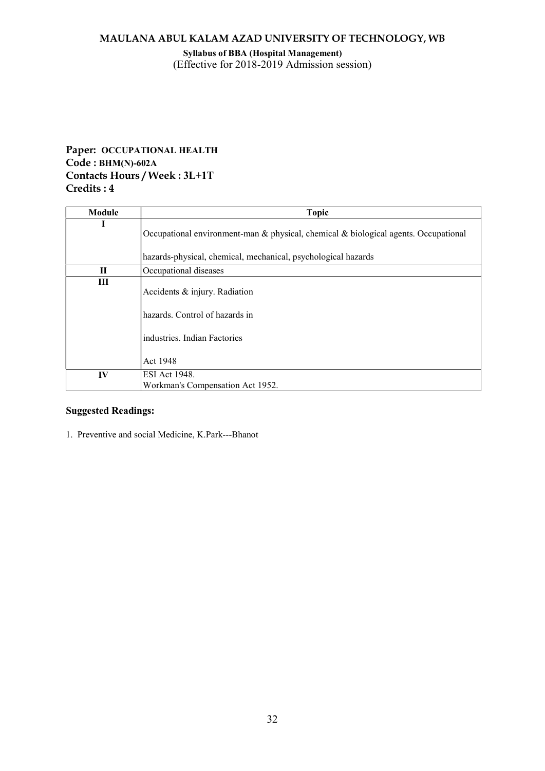#### Syllabus of BBA (Hospital Management) (Effective for 2018-2019 Admission session)

# Paper: OCCUPATIONAL HEALTH Code : BHM(N)-602A Contacts Hours / Week : 3L+1T Credits : 4

| Module       | <b>Topic</b>                                                                                                                                         |
|--------------|------------------------------------------------------------------------------------------------------------------------------------------------------|
| 1            | Occupational environment-man & physical, chemical & biological agents. Occupational<br>hazards-physical, chemical, mechanical, psychological hazards |
| $\mathbf{I}$ | Occupational diseases                                                                                                                                |
| Ш            | Accidents & injury. Radiation<br>hazards. Control of hazards in<br>industries. Indian Factories<br>Act 1948                                          |
| IV           | ESI Act 1948.<br>Workman's Compensation Act 1952.                                                                                                    |

### Suggested Readings:

1. Preventive and social Medicine, K.Park---Bhanot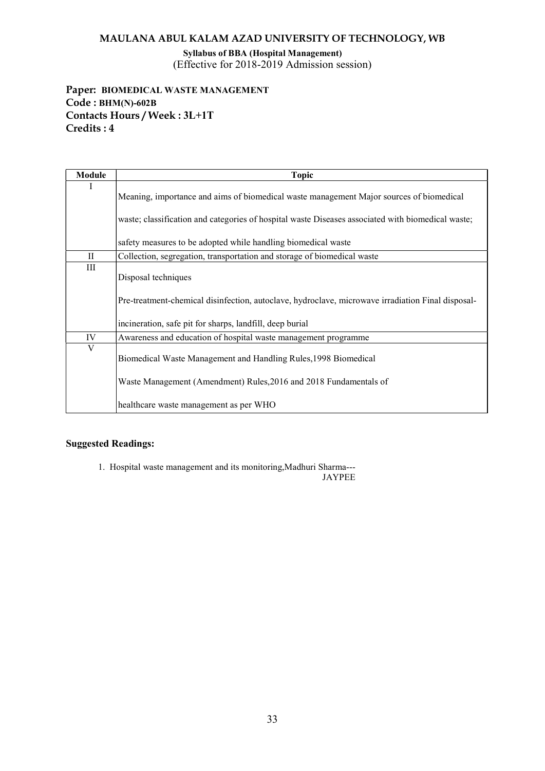Syllabus of BBA (Hospital Management) (Effective for 2018-2019 Admission session)

# Paper: BIOMEDICAL WASTE MANAGEMENT Code : BHM(N)-602B Contacts Hours / Week : 3L+1T Credits : 4

| <b>Module</b> | <b>Topic</b>                                                                                      |
|---------------|---------------------------------------------------------------------------------------------------|
| Ι             | Meaning, importance and aims of biomedical waste management Major sources of biomedical           |
|               | waste; classification and categories of hospital waste Diseases associated with biomedical waste; |
|               | safety measures to be adopted while handling biomedical waste                                     |
| $_{\rm II}$   | Collection, segregation, transportation and storage of biomedical waste                           |
| $\rm III$     | Disposal techniques                                                                               |
|               | Pre-treatment-chemical disinfection, autoclave, hydroclave, microwave irradiation Final disposal- |
|               | incineration, safe pit for sharps, landfill, deep burial                                          |
| IV            | Awareness and education of hospital waste management programme                                    |
| V             | Biomedical Waste Management and Handling Rules, 1998 Biomedical                                   |
|               | Waste Management (Amendment) Rules, 2016 and 2018 Fundamentals of                                 |
|               | healthcare waste management as per WHO                                                            |

### Suggested Readings:

1. Hospital waste management and its monitoring,Madhuri Sharma---

JAYPEE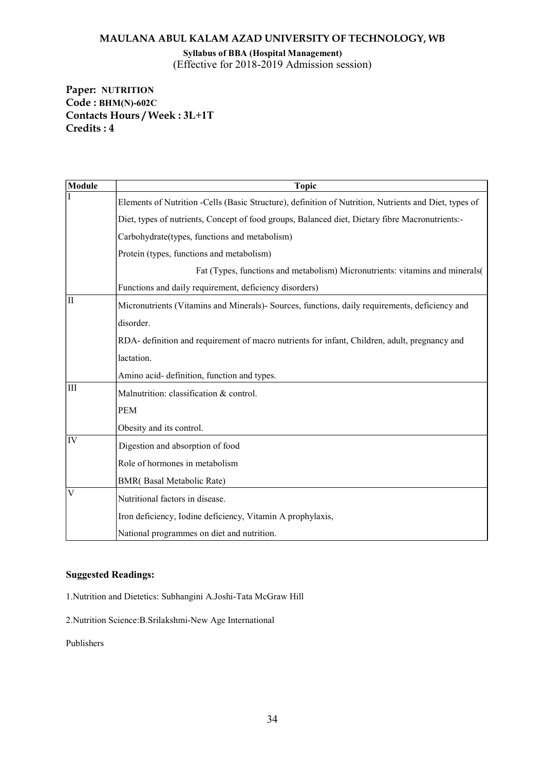Syllabus of BBA (Hospital Management) (Effective for 2018-2019 Admission session)

Paper: NUTRITION Code : BHM(N)-602C Contacts Hours / Week : 3L+1T Credits : 4

| Module              | <b>Topic</b>                                                                                           |
|---------------------|--------------------------------------------------------------------------------------------------------|
|                     | Elements of Nutrition - Cells (Basic Structure), definition of Nutrition, Nutrients and Diet, types of |
|                     | Diet, types of nutrients, Concept of food groups, Balanced diet, Dietary fibre Macronutrients:-        |
|                     | Carbohydrate(types, functions and metabolism)                                                          |
|                     | Protein (types, functions and metabolism)                                                              |
|                     | Fat (Types, functions and metabolism) Micronutrients: vitamins and minerals(                           |
|                     | Functions and daily requirement, deficiency disorders)                                                 |
| $\overline{\rm II}$ | Micronutrients (Vitamins and Minerals)- Sources, functions, daily requirements, deficiency and         |
|                     | disorder.                                                                                              |
|                     | RDA- definition and requirement of macro nutrients for infant, Children, adult, pregnancy and          |
|                     | lactation.                                                                                             |
|                     | Amino acid- definition, function and types.                                                            |
| III                 | Malnutrition: classification & control.                                                                |
|                     | <b>PEM</b>                                                                                             |
|                     | Obesity and its control.                                                                               |
| IV                  | Digestion and absorption of food                                                                       |
|                     | Role of hormones in metabolism                                                                         |
|                     | <b>BMR</b> (Basal Metabolic Rate)                                                                      |
| V                   | Nutritional factors in disease.                                                                        |
|                     | Iron deficiency, Iodine deficiency, Vitamin A prophylaxis,                                             |
|                     | National programmes on diet and nutrition.                                                             |

#### Suggested Readings:

1.Nutrition and Dietetics: Subhangini A.Joshi-Tata McGraw Hill

2.Nutrition Science:B.Srilakshmi-New Age International

Publishers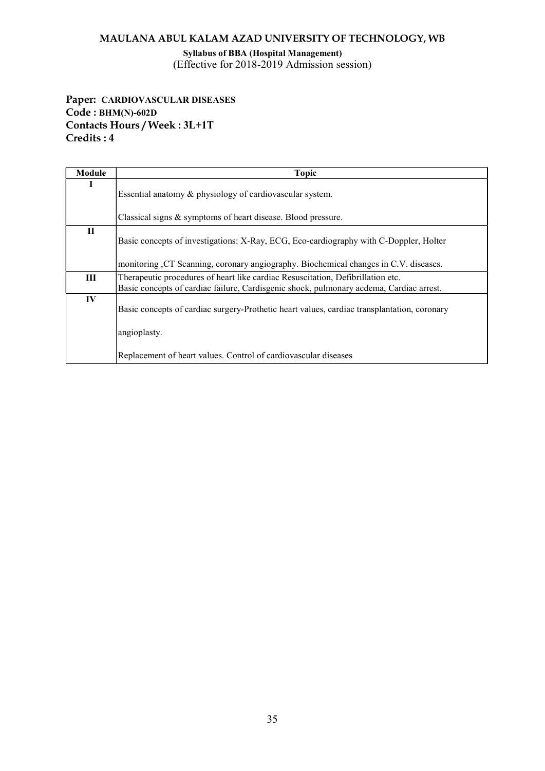Syllabus of BBA (Hospital Management) (Effective for 2018-2019 Admission session)

Paper: CARDIOVASCULAR DISEASES Code : BHM(N)-602D Contacts Hours / Week : 3L+1T Credits : 4

| Module | <b>Topic</b>                                                                                                                                                               |
|--------|----------------------------------------------------------------------------------------------------------------------------------------------------------------------------|
| I      | Essential anatomy & physiology of cardiovascular system.                                                                                                                   |
|        | Classical signs & symptoms of heart disease. Blood pressure.                                                                                                               |
| П      | Basic concepts of investigations: X-Ray, ECG, Eco-cardiography with C-Doppler, Holter                                                                                      |
|        | monitoring CT Scanning, coronary angiography. Biochemical changes in C.V. diseases.                                                                                        |
| Ш      | Therapeutic procedures of heart like cardiac Resuscitation, Defibrillation etc.<br>Basic concepts of cardiac failure, Cardisgenic shock, pulmonary acdema, Cardiac arrest. |
| IV     | Basic concepts of cardiac surgery-Prothetic heart values, cardiac transplantation, coronary                                                                                |
|        | angioplasty.                                                                                                                                                               |
|        | Replacement of heart values. Control of cardiovascular diseases                                                                                                            |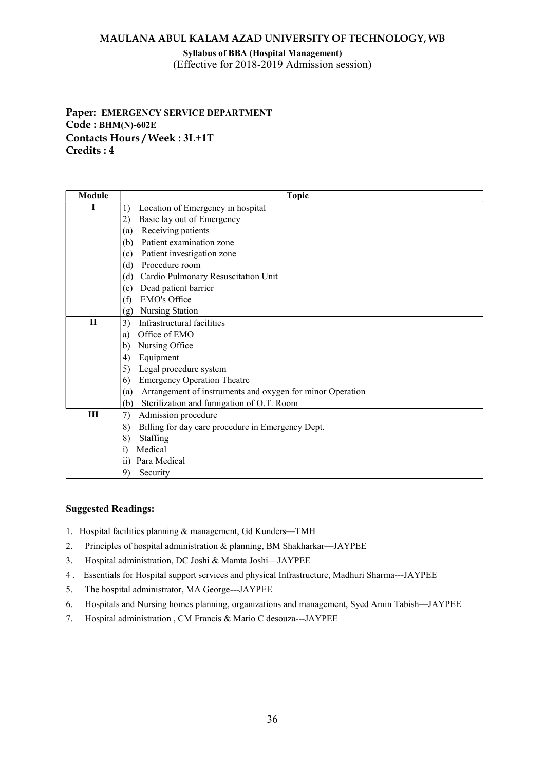#### Syllabus of BBA (Hospital Management) (Effective for 2018-2019 Admission session)

# Paper: EMERGENCY SERVICE DEPARTMENT Code : BHM(N)-602E Contacts Hours / Week : 3L+1T Credits : 4

| Module | <b>Topic</b>                                                     |
|--------|------------------------------------------------------------------|
|        | Location of Emergency in hospital<br>1)                          |
|        | Basic lay out of Emergency<br>2)                                 |
|        | Receiving patients<br>(a)                                        |
|        | Patient examination zone<br>(b)                                  |
|        | Patient investigation zone<br>(c)                                |
|        | Procedure room<br>(d)                                            |
|        | Cardio Pulmonary Resuscitation Unit<br>(d)                       |
|        | Dead patient barrier<br>(e)                                      |
|        | EMO's Office<br>(f)                                              |
|        | Nursing Station<br>(g)                                           |
| $\Pi$  | Infrastructural facilities<br>3)                                 |
|        | Office of EMO<br>a)                                              |
|        | Nursing Office<br>$\mathbf{b}$                                   |
|        | Equipment<br>4)                                                  |
|        | Legal procedure system<br>5)                                     |
|        | <b>Emergency Operation Theatre</b><br>6)                         |
|        | Arrangement of instruments and oxygen for minor Operation<br>(a) |
|        | Sterilization and fumigation of O.T. Room<br>(b)                 |
| Ш      | 7)<br>Admission procedure                                        |
|        | 8)<br>Billing for day care procedure in Emergency Dept.          |
|        | Staffing<br>8)                                                   |
|        | Medical<br>$\vert i)$                                            |
|        | Para Medical<br>$\overline{11}$                                  |
|        | 9<br>Security                                                    |

- 1. Hospital facilities planning & management, Gd Kunders—TMH
- 2. Principles of hospital administration & planning, BM Shakharkar—JAYPEE
- 3. Hospital administration, DC Joshi & Mamta Joshi—JAYPEE
- 4 . Essentials for Hospital support services and physical Infrastructure, Madhuri Sharma---JAYPEE
- 5. The hospital administrator, MA George---JAYPEE
- 6. Hospitals and Nursing homes planning, organizations and management, Syed Amin Tabish—JAYPEE
- 7. Hospital administration , CM Francis & Mario C desouza---JAYPEE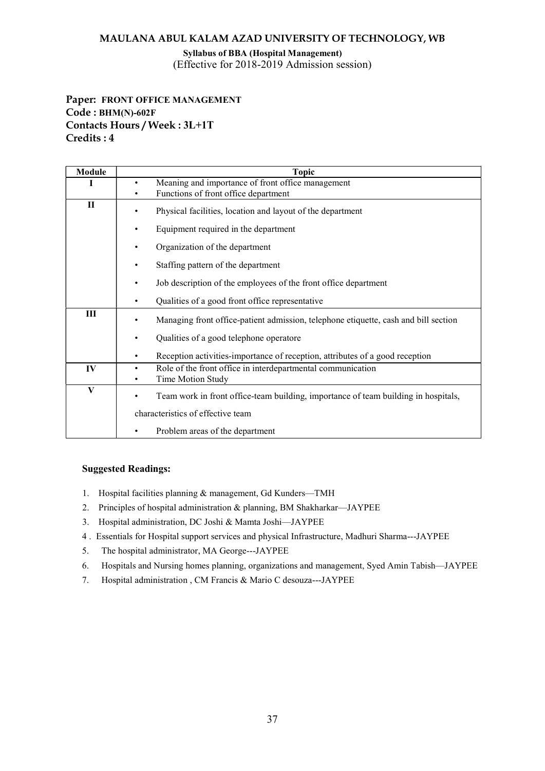Syllabus of BBA (Hospital Management) (Effective for 2018-2019 Admission session)

Paper: FRONT OFFICE MANAGEMENT Code : BHM(N)-602F Contacts Hours / Week : 3L+1T Credits : 4

| <b>Module</b> | <b>Topic</b>                                                                              |  |  |  |  |  |  |
|---------------|-------------------------------------------------------------------------------------------|--|--|--|--|--|--|
|               | Meaning and importance of front office management<br>Functions of front office department |  |  |  |  |  |  |
| П             | Physical facilities, location and layout of the department                                |  |  |  |  |  |  |
|               | Equipment required in the department                                                      |  |  |  |  |  |  |
|               | Organization of the department                                                            |  |  |  |  |  |  |
|               | Staffing pattern of the department                                                        |  |  |  |  |  |  |
|               | Job description of the employees of the front office department                           |  |  |  |  |  |  |
|               | Qualities of a good front office representative                                           |  |  |  |  |  |  |
| Ш             | Managing front office-patient admission, telephone etiquette, cash and bill section       |  |  |  |  |  |  |
|               | Qualities of a good telephone operatore<br>٠                                              |  |  |  |  |  |  |
|               | Reception activities-importance of reception, attributes of a good reception              |  |  |  |  |  |  |
| IV            | Role of the front office in interdepartmental communication<br>Time Motion Study          |  |  |  |  |  |  |
| V             | Team work in front office-team building, importance of team building in hospitals,        |  |  |  |  |  |  |
|               | characteristics of effective team                                                         |  |  |  |  |  |  |
|               | Problem areas of the department                                                           |  |  |  |  |  |  |

- 1. Hospital facilities planning & management, Gd Kunders—TMH
- 2. Principles of hospital administration & planning, BM Shakharkar—JAYPEE
- 3. Hospital administration, DC Joshi & Mamta Joshi—JAYPEE
- 4 . Essentials for Hospital support services and physical Infrastructure, Madhuri Sharma---JAYPEE
- 5. The hospital administrator, MA George---JAYPEE
- 6. Hospitals and Nursing homes planning, organizations and management, Syed Amin Tabish—JAYPEE
- 7. Hospital administration , CM Francis & Mario C desouza---JAYPEE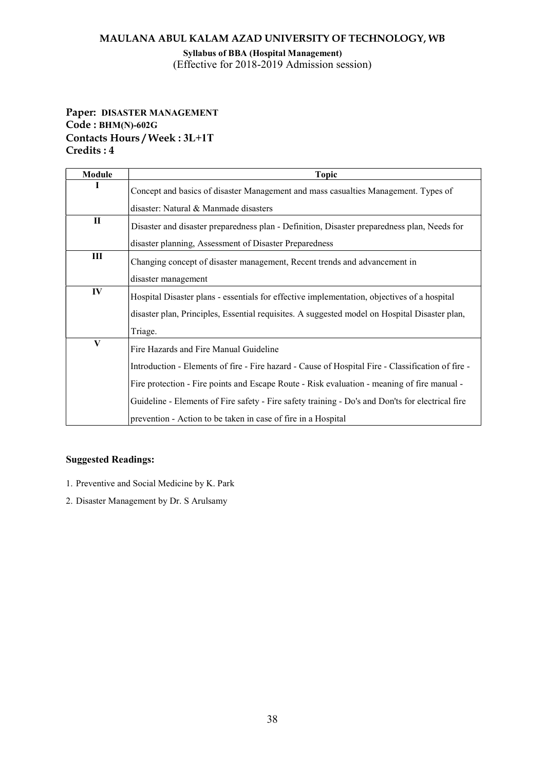Syllabus of BBA (Hospital Management) (Effective for 2018-2019 Admission session)

# Paper: DISASTER MANAGEMENT Code : BHM(N)-602G Contacts Hours / Week : 3L+1T Credits : 4

| <b>Module</b> | <b>Topic</b>                                                                                      |  |  |  |  |  |  |
|---------------|---------------------------------------------------------------------------------------------------|--|--|--|--|--|--|
|               | Concept and basics of disaster Management and mass casualties Management. Types of                |  |  |  |  |  |  |
|               | disaster: Natural & Manmade disasters                                                             |  |  |  |  |  |  |
| П             | Disaster and disaster preparedness plan - Definition, Disaster preparedness plan, Needs for       |  |  |  |  |  |  |
|               | disaster planning, Assessment of Disaster Preparedness                                            |  |  |  |  |  |  |
| Ш             | Changing concept of disaster management, Recent trends and advancement in                         |  |  |  |  |  |  |
|               | disaster management                                                                               |  |  |  |  |  |  |
| IV            | Hospital Disaster plans - essentials for effective implementation, objectives of a hospital       |  |  |  |  |  |  |
|               | disaster plan, Principles, Essential requisites. A suggested model on Hospital Disaster plan,     |  |  |  |  |  |  |
|               | Triage.                                                                                           |  |  |  |  |  |  |
| V             | Fire Hazards and Fire Manual Guideline                                                            |  |  |  |  |  |  |
|               | Introduction - Elements of fire - Fire hazard - Cause of Hospital Fire - Classification of fire - |  |  |  |  |  |  |
|               | Fire protection - Fire points and Escape Route - Risk evaluation - meaning of fire manual -       |  |  |  |  |  |  |
|               | Guideline - Elements of Fire safety - Fire safety training - Do's and Don'ts for electrical fire  |  |  |  |  |  |  |
|               | prevention - Action to be taken in case of fire in a Hospital                                     |  |  |  |  |  |  |

- 1. Preventive and Social Medicine by K. Park
- 2. Disaster Management by Dr. S Arulsamy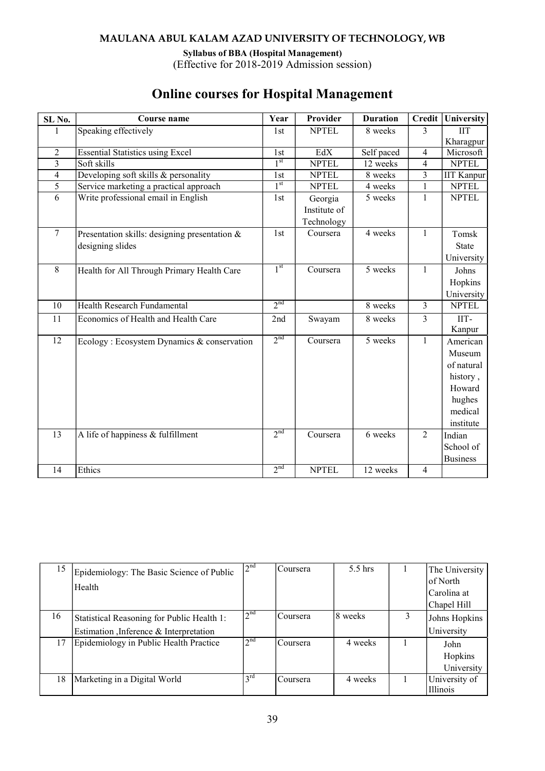Syllabus of BBA (Hospital Management)

(Effective for 2018-2019 Admission session)

| SL No.         | Course name                                   | Year            | Provider     | <b>Duration</b> | <b>Credit</b>  | University        |
|----------------|-----------------------------------------------|-----------------|--------------|-----------------|----------------|-------------------|
|                | Speaking effectively                          | 1st             | <b>NPTEL</b> | 8 weeks         | 3              | <b>IIT</b>        |
|                |                                               |                 |              |                 |                | Kharagpur         |
| $\overline{2}$ | <b>Essential Statistics using Excel</b>       | 1st             | EdX          | Self paced      | $\overline{4}$ | Microsoft         |
| 3              | Soft skills                                   | 1 <sup>st</sup> | <b>NPTEL</b> | 12 weeks        | $\overline{4}$ | <b>NPTEL</b>      |
| $\overline{4}$ | Developing soft skills & personality          | 1 <sub>st</sub> | <b>NPTEL</b> | 8 weeks         | 3              | <b>IIT Kanpur</b> |
| 5              | Service marketing a practical approach        | 1 <sup>st</sup> | <b>NPTEL</b> | 4 weeks         | 1              | <b>NPTEL</b>      |
| 6              | Write professional email in English           | 1st             | Georgia      | 5 weeks         | $\mathbf{1}$   | <b>NPTEL</b>      |
|                |                                               |                 | Institute of |                 |                |                   |
|                |                                               |                 | Technology   |                 |                |                   |
| $\overline{7}$ | Presentation skills: designing presentation & | 1st             | Coursera     | 4 weeks         | $\mathbf{1}$   | Tomsk             |
|                | designing slides                              |                 |              |                 |                | <b>State</b>      |
|                |                                               |                 |              |                 |                | University        |
| 8              | Health for All Through Primary Health Care    | 1 <sup>st</sup> | Coursera     | 5 weeks         | $\mathbf{1}$   | Johns             |
|                |                                               |                 |              |                 |                | Hopkins           |
|                |                                               |                 |              |                 |                | University        |
| 10             | Health Research Fundamental                   | 2 <sub>nd</sub> |              | 8 weeks         | $\mathfrak{Z}$ | <b>NPTEL</b>      |
| 11             | Economics of Health and Health Care           | 2nd             | Swayam       | 8 weeks         | $\overline{3}$ | IIT-              |
|                |                                               |                 |              |                 |                | Kanpur            |
| 12             | Ecology: Ecosystem Dynamics & conservation    | 2 <sup>nd</sup> | Coursera     | 5 weeks         | $\mathbf{1}$   | American          |
|                |                                               |                 |              |                 |                | Museum            |
|                |                                               |                 |              |                 |                | of natural        |
|                |                                               |                 |              |                 |                | history,          |
|                |                                               |                 |              |                 |                | Howard            |
|                |                                               |                 |              |                 |                | hughes            |
|                |                                               |                 |              |                 |                | medical           |
|                |                                               |                 |              |                 |                | institute         |
| 13             | A life of happiness & fulfillment             | 2 <sup>nd</sup> | Coursera     | 6 weeks         | $\overline{2}$ | Indian            |
|                |                                               |                 |              |                 |                | School of         |
|                |                                               |                 |              |                 |                | <b>Business</b>   |
| 14             | Ethics                                        | 2 <sup>nd</sup> | <b>NPTEL</b> | 12 weeks        | $\overline{4}$ |                   |

# Online courses for Hospital Management

| 15 | Epidemiology: The Basic Science of Public  | 2 <sup>nd</sup> | Coursera | 5.5 hrs  | The University |
|----|--------------------------------------------|-----------------|----------|----------|----------------|
|    | Health                                     |                 |          |          | of North       |
|    |                                            |                 |          |          | Carolina at    |
|    |                                            |                 |          |          | Chapel Hill    |
| 16 | Statistical Reasoning for Public Health 1: | 2 <sup>nd</sup> | Coursera | 18 weeks | Johns Hopkins  |
|    | Estimation , Inference & Interpretation    |                 |          |          | University     |
| 17 | Epidemiology in Public Health Practice     | 2 <sup>nd</sup> | Coursera | 4 weeks  | John           |
|    |                                            |                 |          |          | Hopkins        |
|    |                                            |                 |          |          | University     |
| 18 | Marketing in a Digital World               | $3^{\text{rd}}$ | Coursera | 4 weeks  | University of  |
|    |                                            |                 |          |          | Illinois       |